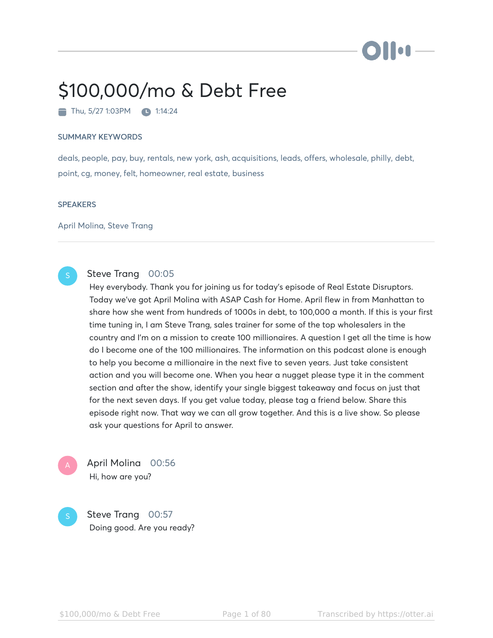# $\mathbf{u}$

# \$100,000/mo & Debt Free

 $\blacksquare$  Thu, 5/27 1:03PM  $\blacksquare$  1:14:24

#### SUMMARY KEYWORDS

deals, people, pay, buy, rentals, new york, ash, acquisitions, leads, offers, wholesale, philly, debt, point, cg, money, felt, homeowner, real estate, business

#### **SPEAKERS**

April Molina, Steve Trang

# Steve Trang 00:05

Hey everybody. Thank you for joining us for today's episode of Real Estate Disruptors. Today we've got April Molina with ASAP Cash for Home. April flew in from Manhattan to share how she went from hundreds of 1000s in debt, to 100,000 a month. If this is your first time tuning in, I am Steve Trang, sales trainer for some of the top wholesalers in the country and I'm on a mission to create 100 millionaires. A question I get all the time is how do I become one of the 100 millionaires. The information on this podcast alone is enough to help you become a millionaire in the next five to seven years. Just take consistent action and you will become one. When you hear a nugget please type it in the comment section and after the show, identify your single biggest takeaway and focus on just that for the next seven days. If you get value today, please tag a friend below. Share this episode right now. That way we can all grow together. And this is a live show. So please ask your questions for April to answer.

April Molina 00:56 Hi, how are you?

Steve Trang 00:57 Doing good. Are you ready?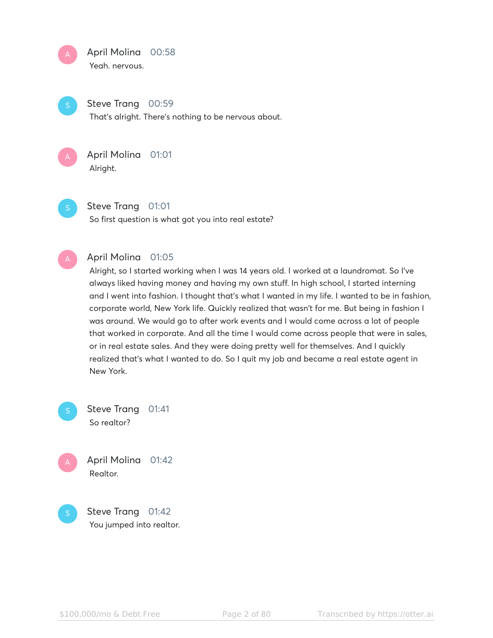April Molina 00:58 Yeah. nervous.

# Steve Trang 00:59

That's alright. There's nothing to be nervous about.



April Molina 01:01 Alright.

# Steve Trang 01:01

So first question is what got you into real estate?



# April Molina 01:05

Alright, so I started working when I was 14 years old. I worked at a laundromat. So I've always liked having money and having my own stuff. In high school, I started interning and I went into fashion. I thought that's what I wanted in my life. I wanted to be in fashion, corporate world, New York life. Quickly realized that wasn't for me. But being in fashion I was around. We would go to after work events and I would come across a lot of people that worked in corporate. And all the time I would come across people that were in sales, or in real estate sales. And they were doing pretty well for themselves. And I quickly realized that's what I wanted to do. So I quit my job and became a real estate agent in New York.

- Steve Trang 01:41 So realtor?
- April Molina 01:42 Realtor.
- Steve Trang 01:42 You jumped into realtor.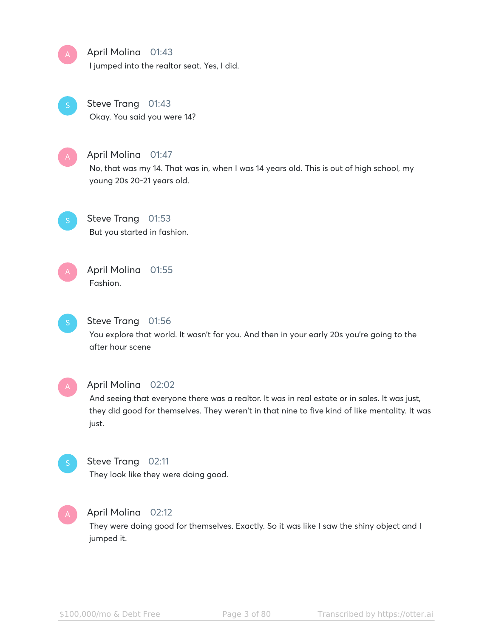April Molina 01:43

I jumped into the realtor seat. Yes, I did.

Steve Trang 01:43 Okay. You said you were 14?



# April Molina 01:47

No, that was my 14. That was in, when I was 14 years old. This is out of high school, my young 20s 20-21 years old.



- April Molina 01:55 Fashion.
- 

#### Steve Trang 01:56

You explore that world. It wasn't for you. And then in your early 20s you're going to the after hour scene



#### April Molina 02:02

And seeing that everyone there was a realtor. It was in real estate or in sales. It was just, they did good for themselves. They weren't in that nine to five kind of like mentality. It was just.



# Steve Trang 02:11

They look like they were doing good.

# April Molina 02:12

They were doing good for themselves. Exactly. So it was like I saw the shiny object and I jumped it.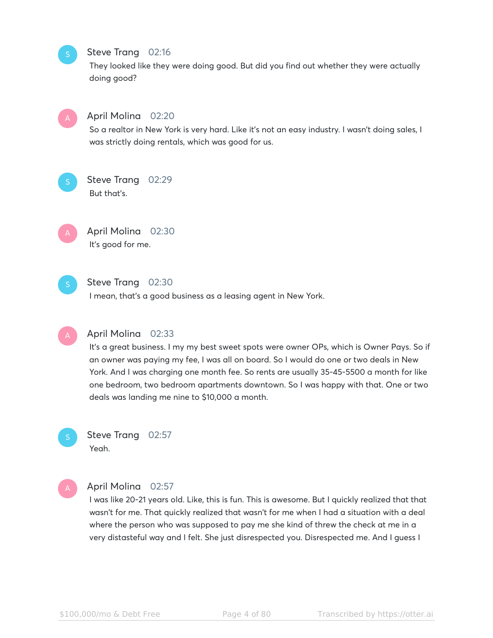## Steve Trang 02:16

They looked like they were doing good. But did you find out whether they were actually doing good?



# April Molina 02:20

So a realtor in New York is very hard. Like it's not an easy industry. I wasn't doing sales, I was strictly doing rentals, which was good for us.

Steve Trang 02:29 But that's.

April Molina 02:30 It's good for me.



#### Steve Trang 02:30

I mean, that's a good business as a leasing agent in New York.



# April Molina 02:33

It's a great business. I my my best sweet spots were owner OPs, which is Owner Pays. So if an owner was paying my fee, I was all on board. So I would do one or two deals in New York. And I was charging one month fee. So rents are usually 35-45-5500 a month for like one bedroom, two bedroom apartments downtown. So I was happy with that. One or two deals was landing me nine to \$10,000 a month.



#### April Molina 02:57

I was like 20-21 years old. Like, this is fun. This is awesome. But I quickly realized that that wasn't for me. That quickly realized that wasn't for me when I had a situation with a deal where the person who was supposed to pay me she kind of threw the check at me in a very distasteful way and I felt. She just disrespected you. Disrespected me. And I guess I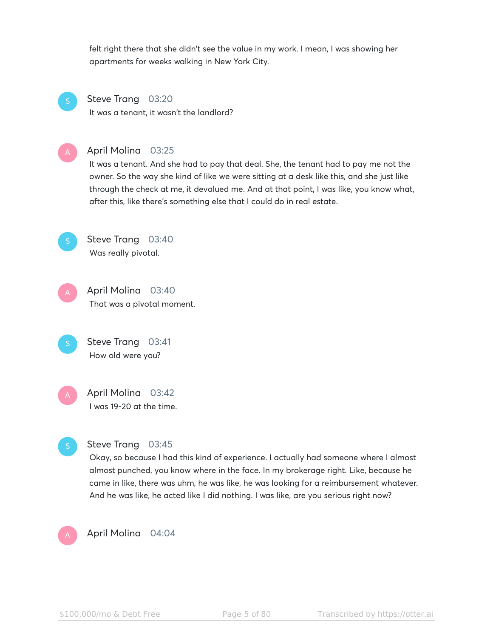felt right there that she didn't see the value in my work. I mean, I was showing her apartments for weeks walking in New York City.

Steve Trang 03:20 It was a tenant, it wasn't the landlord?



# April Molina 03:25

It was a tenant. And she had to pay that deal. She, the tenant had to pay me not the owner. So the way she kind of like we were sitting at a desk like this, and she just like through the check at me, it devalued me. And at that point, I was like, you know what, after this, like there's something else that I could do in real estate.

Steve Trang 03:40 Was really pivotal.

- April Molina 03:40 That was a pivotal moment.
- Steve Trang 03:41 How old were you?

April Molina 03:42 I was 19-20 at the time.



# Steve Trang 03:45

Okay, so because I had this kind of experience. I actually had someone where I almost almost punched, you know where in the face. In my brokerage right. Like, because he came in like, there was uhm, he was like, he was looking for a reimbursement whatever. And he was like, he acted like I did nothing. I was like, are you serious right now?



April Molina 04:04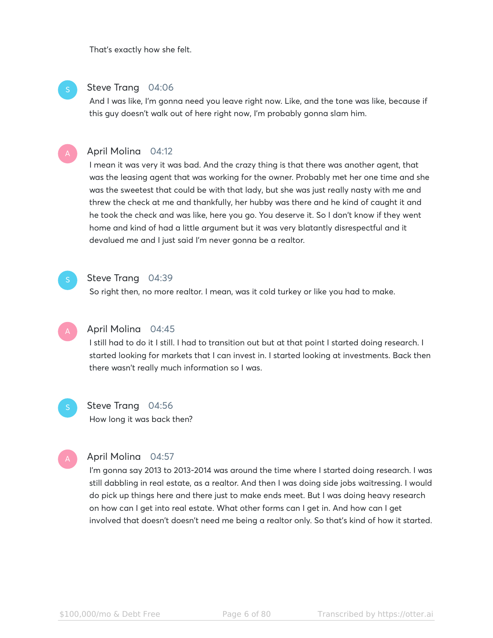That's exactly how she felt.

#### Steve Trang 04:06

And I was like, I'm gonna need you leave right now. Like, and the tone was like, because if this guy doesn't walk out of here right now, I'm probably gonna slam him.

#### April Molina 04:12

I mean it was very it was bad. And the crazy thing is that there was another agent, that was the leasing agent that was working for the owner. Probably met her one time and she was the sweetest that could be with that lady, but she was just really nasty with me and threw the check at me and thankfully, her hubby was there and he kind of caught it and he took the check and was like, here you go. You deserve it. So I don't know if they went home and kind of had a little argument but it was very blatantly disrespectful and it devalued me and I just said I'm never gonna be a realtor.



#### Steve Trang 04:39

So right then, no more realtor. I mean, was it cold turkey or like you had to make.



#### April Molina 04:45

I still had to do it I still. I had to transition out but at that point I started doing research. I started looking for markets that I can invest in. I started looking at investments. Back then there wasn't really much information so I was.

Steve Trang 04:56 How long it was back then?

April Molina 04:57

I'm gonna say 2013 to 2013-2014 was around the time where I started doing research. I was still dabbling in real estate, as a realtor. And then I was doing side jobs waitressing. I would do pick up things here and there just to make ends meet. But I was doing heavy research on how can I get into real estate. What other forms can I get in. And how can I get involved that doesn't doesn't need me being a realtor only. So that's kind of how it started.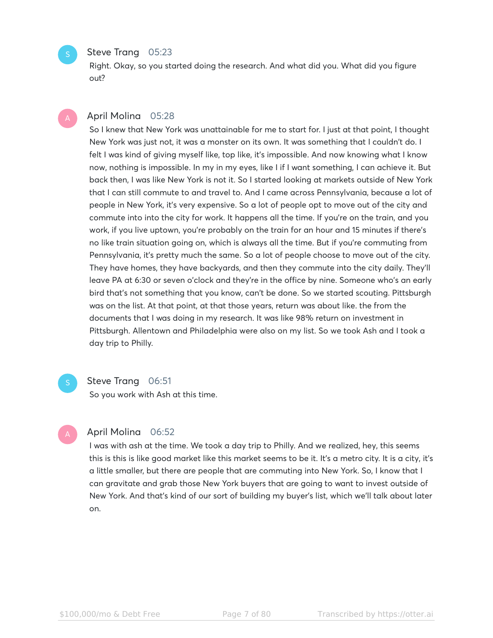#### Steve Trang 05:23

Right. Okay, so you started doing the research. And what did you. What did you figure out?

#### April Molina 05:28

So I knew that New York was unattainable for me to start for. I just at that point, I thought New York was just not, it was a monster on its own. It was something that I couldn't do. I felt I was kind of giving myself like, top like, it's impossible. And now knowing what I know now, nothing is impossible. In my in my eyes, like I if I want something, I can achieve it. But back then, I was like New York is not it. So I started looking at markets outside of New York that I can still commute to and travel to. And I came across Pennsylvania, because a lot of people in New York, it's very expensive. So a lot of people opt to move out of the city and commute into into the city for work. It happens all the time. If you're on the train, and you work, if you live uptown, you're probably on the train for an hour and 15 minutes if there's no like train situation going on, which is always all the time. But if you're commuting from Pennsylvania, it's pretty much the same. So a lot of people choose to move out of the city. They have homes, they have backyards, and then they commute into the city daily. They'll leave PA at 6:30 or seven o'clock and they're in the office by nine. Someone who's an early bird that's not something that you know, can't be done. So we started scouting. Pittsburgh was on the list. At that point, at that those years, return was about like. the from the documents that I was doing in my research. It was like 98% return on investment in Pittsburgh. Allentown and Philadelphia were also on my list. So we took Ash and I took a day trip to Philly.

Steve Trang 06:51

So you work with Ash at this time.

# April Molina 06:52

I was with ash at the time. We took a day trip to Philly. And we realized, hey, this seems this is this is like good market like this market seems to be it. It's a metro city. It is a city, it's a little smaller, but there are people that are commuting into New York. So, I know that I can gravitate and grab those New York buyers that are going to want to invest outside of New York. And that's kind of our sort of building my buyer's list, which we'll talk about later on.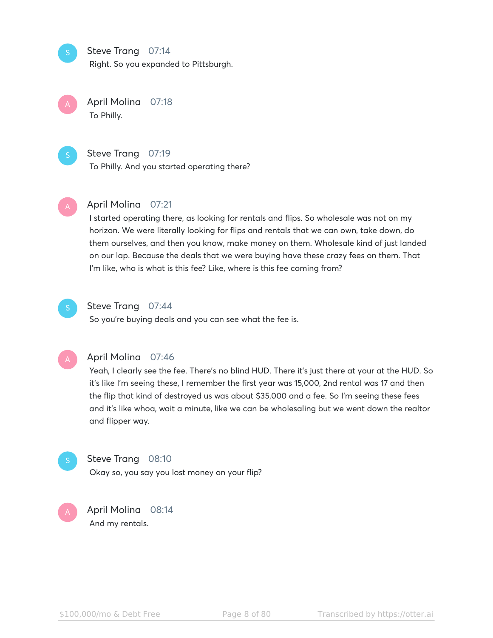Steve Trang 07:14

Right. So you expanded to Pittsburgh.

April Molina 07:18 To Philly.



#### Steve Trang 07:19

To Philly. And you started operating there?



#### April Molina 07:21

I started operating there, as looking for rentals and flips. So wholesale was not on my horizon. We were literally looking for flips and rentals that we can own, take down, do them ourselves, and then you know, make money on them. Wholesale kind of just landed on our lap. Because the deals that we were buying have these crazy fees on them. That I'm like, who is what is this fee? Like, where is this fee coming from?



## Steve Trang 07:44

So you're buying deals and you can see what the fee is.



#### April Molina 07:46

Yeah, I clearly see the fee. There's no blind HUD. There it's just there at your at the HUD. So it's like I'm seeing these, I remember the first year was 15,000, 2nd rental was 17 and then the flip that kind of destroyed us was about \$35,000 and a fee. So I'm seeing these fees and it's like whoa, wait a minute, like we can be wholesaling but we went down the realtor and flipper way.

#### Steve Trang 08:10

Okay so, you say you lost money on your flip?

# April Molina 08:14 And my rentals.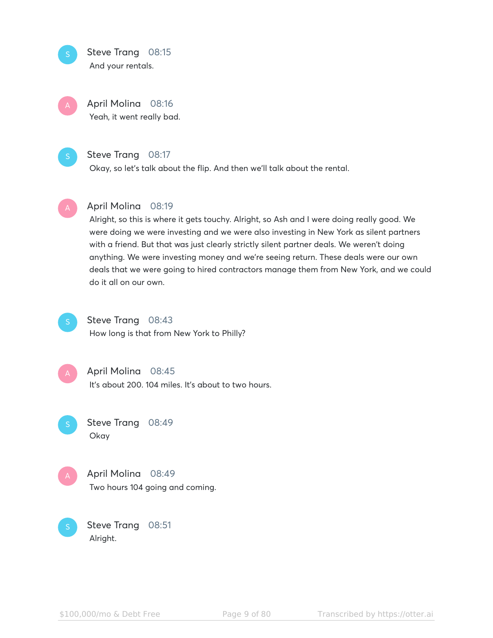# Steve Trang 08:15

And your rentals.

April Molina 08:16 Yeah, it went really bad.



## Steve Trang 08:17

Okay, so let's talk about the flip. And then we'll talk about the rental.



#### April Molina 08:19

Alright, so this is where it gets touchy. Alright, so Ash and I were doing really good. We were doing we were investing and we were also investing in New York as silent partners with a friend. But that was just clearly strictly silent partner deals. We weren't doing anything. We were investing money and we're seeing return. These deals were our own deals that we were going to hired contractors manage them from New York, and we could do it all on our own.



# Steve Trang 08:43

How long is that from New York to Philly?



# April Molina 08:45

It's about 200. 104 miles. It's about to two hours.

Steve Trang 08:49 Okay



Steve Trang 08:51 Alright.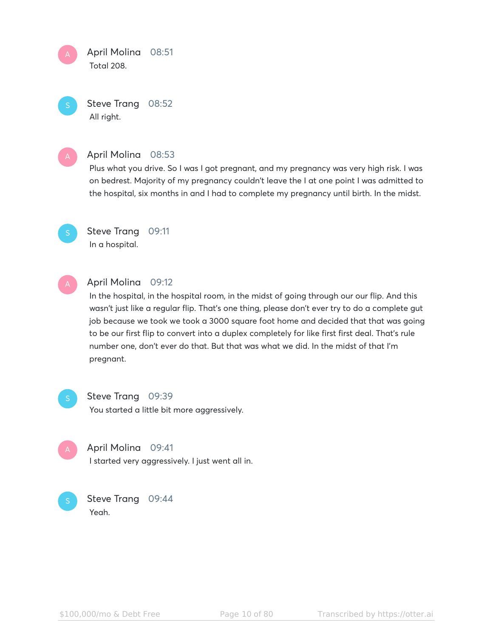April Molina 08:51 Total 208.

Steve Trang 08:52 All right.

#### April Molina 08:53

Plus what you drive. So I was I got pregnant, and my pregnancy was very high risk. I was on bedrest. Majority of my pregnancy couldn't leave the I at one point I was admitted to the hospital, six months in and I had to complete my pregnancy until birth. In the midst.



Steve Trang 09:11 In a hospital.



#### April Molina 09:12

In the hospital, in the hospital room, in the midst of going through our our flip. And this wasn't just like a regular flip. That's one thing, please don't ever try to do a complete gut job because we took we took a 3000 square foot home and decided that that was going to be our first flip to convert into a duplex completely for like first first deal. That's rule number one, don't ever do that. But that was what we did. In the midst of that I'm pregnant.



Steve Trang 09:39 You started a little bit more aggressively.



# April Molina 09:41

I started very aggressively. I just went all in.

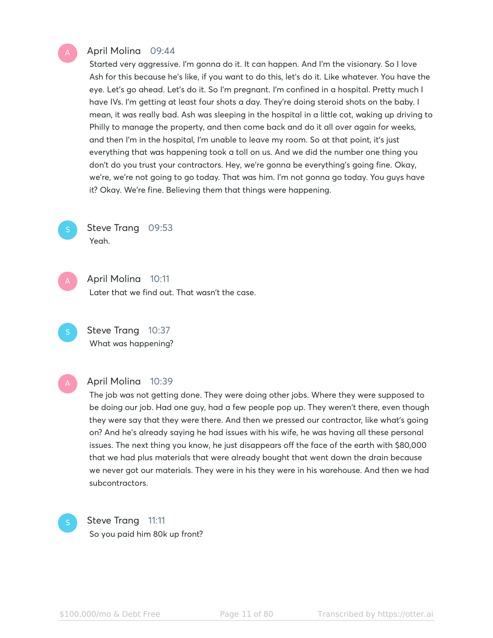# April Molina 09:44

Started very aggressive. I'm gonna do it. It can happen. And I'm the visionary. So I love Ash for this because he's like, if you want to do this, let's do it. Like whatever. You have the eye. Let's go ahead. Let's do it. So I'm pregnant. I'm confined in a hospital. Pretty much I have IVs. I'm getting at least four shots a day. They're doing steroid shots on the baby. I mean, it was really bad. Ash was sleeping in the hospital in a little cot, waking up driving to Philly to manage the property, and then come back and do it all over again for weeks, and then I'm in the hospital, I'm unable to leave my room. So at that point, it's just everything that was happening took a toll on us. And we did the number one thing you don't do you trust your contractors. Hey, we're gonna be everything's going fine. Okay, we're, we're not going to go today. That was him. I'm not gonna go today. You guys have it? Okay. We're fine. Believing them that things were happening.



Steve Trang 09:53 Yeah.

April Molina 10:11

Later that we find out. That wasn't the case.

- Steve Trang 10:37 What was happening?
- 

#### April Molina 10:39

The job was not getting done. They were doing other jobs. Where they were supposed to be doing our job. Had one guy, had a few people pop up. They weren't there, even though they were say that they were there. And then we pressed our contractor, like what's going on? And he's already saying he had issues with his wife, he was having all these personal issues. The next thing you know, he just disappears off the face of the earth with \$80,000 that we had plus materials that were already bought that went down the drain because we never got our materials. They were in his they were in his warehouse. And then we had subcontractors.

Steve Trang 11:11 So you paid him 80k up front?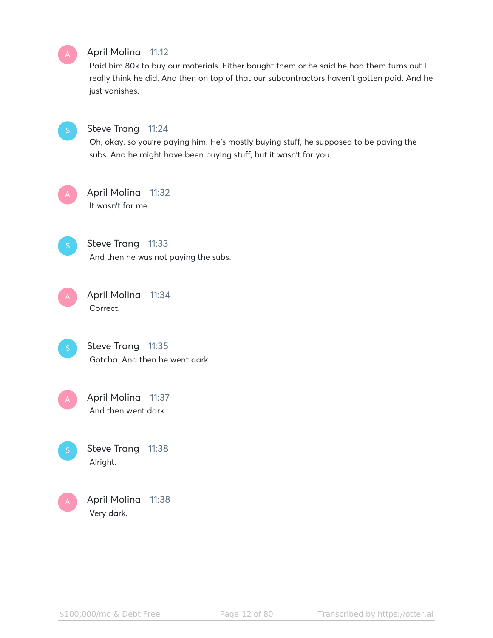# April Molina 11:12

Paid him 80k to buy our materials. Either bought them or he said he had them turns out I really think he did. And then on top of that our subcontractors haven't gotten paid. And he just vanishes.



# Steve Trang 11:24

Oh, okay, so you're paying him. He's mostly buying stuff, he supposed to be paying the subs. And he might have been buying stuff, but it wasn't for you.

April Molina 11:32 It wasn't for me.

Steve Trang 11:33

And then he was not paying the subs.

April Molina 11:34 Correct.

Steve Trang 11:35 Gotcha. And then he went dark.

April Molina 11:37 And then went dark.

Steve Trang 11:38 Alright.

April Molina 11:38 Very dark.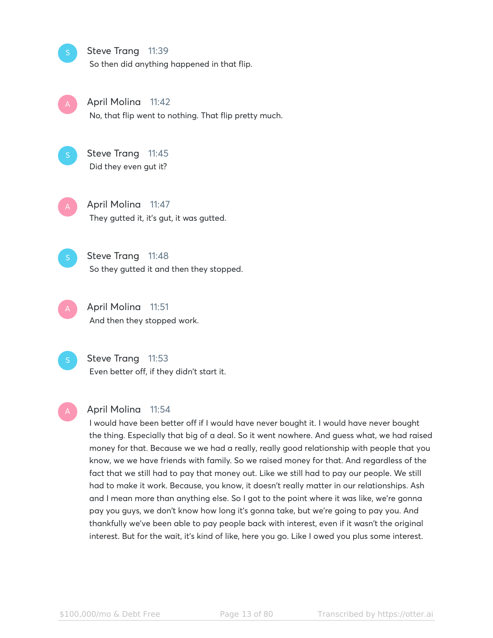Steve Trang 11:39

So then did anything happened in that flip.

April Molina 11:42 No, that flip went to nothing. That flip pretty much.





April Molina 11:47 They gutted it, it's gut, it was gutted.

Steve Trang 11:48 So they gutted it and then they stopped.

April Molina 11:51 And then they stopped work.

Steve Trang 11:53 Even better off, if they didn't start it.

# April Molina 11:54

I would have been better off if I would have never bought it. I would have never bought the thing. Especially that big of a deal. So it went nowhere. And guess what, we had raised money for that. Because we we had a really, really good relationship with people that you know, we we have friends with family. So we raised money for that. And regardless of the fact that we still had to pay that money out. Like we still had to pay our people. We still had to make it work. Because, you know, it doesn't really matter in our relationships. Ash and I mean more than anything else. So I got to the point where it was like, we're gonna pay you guys, we don't know how long it's gonna take, but we're going to pay you. And thankfully we've been able to pay people back with interest, even if it wasn't the original interest. But for the wait, it's kind of like, here you go. Like I owed you plus some interest.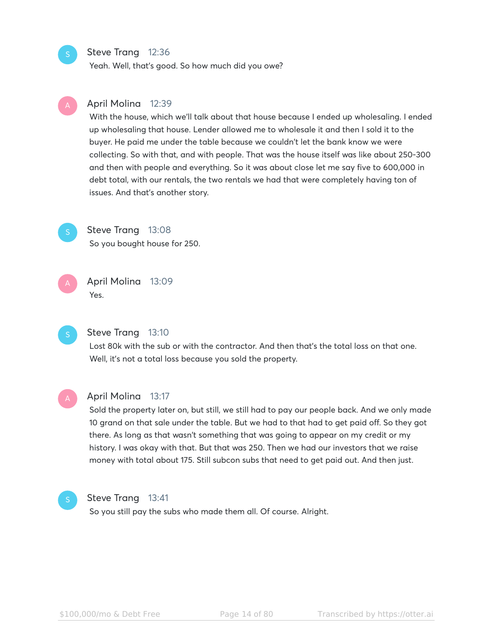#### Steve Trang 12:36

Yeah. Well, that's good. So how much did you owe?

# April Molina 12:39

With the house, which we'll talk about that house because I ended up wholesaling. I ended up wholesaling that house. Lender allowed me to wholesale it and then I sold it to the buyer. He paid me under the table because we couldn't let the bank know we were collecting. So with that, and with people. That was the house itself was like about 250-300 and then with people and everything. So it was about close let me say five to 600,000 in debt total, with our rentals, the two rentals we had that were completely having ton of issues. And that's another story.



# Steve Trang 13:08

So you bought house for 250.

April Molina 13:09 Yes.



# Steve Trang 13:10

Lost 80k with the sub or with the contractor. And then that's the total loss on that one. Well, it's not a total loss because you sold the property.

#### April Molina 13:17

Sold the property later on, but still, we still had to pay our people back. And we only made 10 grand on that sale under the table. But we had to that had to get paid off. So they got there. As long as that wasn't something that was going to appear on my credit or my history. I was okay with that. But that was 250. Then we had our investors that we raise money with total about 175. Still subcon subs that need to get paid out. And then just.



#### Steve Trang 13:41

So you still pay the subs who made them all. Of course. Alright.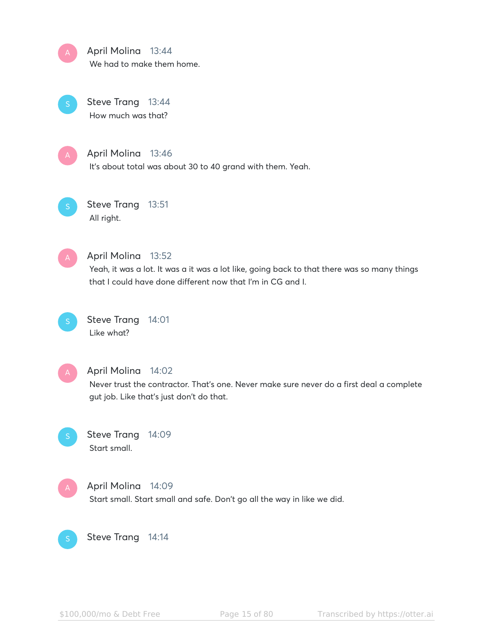April Molina 13:44 We had to make them home.



# April Molina 13:46

It's about total was about 30 to 40 grand with them. Yeah.

Steve Trang 13:51 All right.



# April Molina 13:52

Yeah, it was a lot. It was a it was a lot like, going back to that there was so many things that I could have done different now that I'm in CG and I.





# April Molina 14:02

Never trust the contractor. That's one. Never make sure never do a first deal a complete gut job. Like that's just don't do that.

Steve Trang 14:09 Start small.



April Molina 14:09 Start small. Start small and safe. Don't go all the way in like we did.



Steve Trang 14:14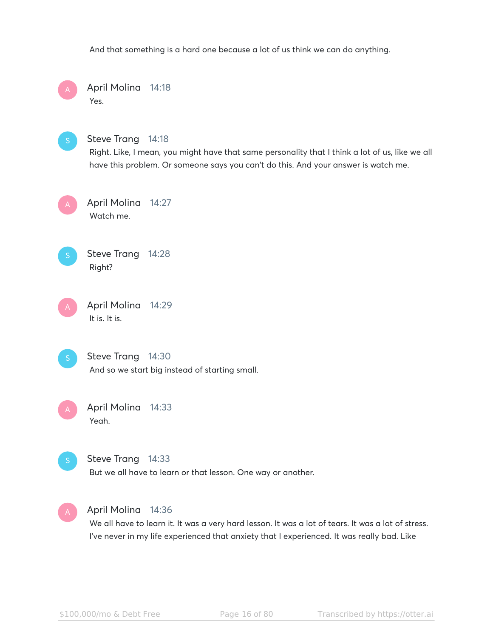And that something is a hard one because a lot of us think we can do anything.





#### Steve Trang 14:18

Right. Like, I mean, you might have that same personality that I think a lot of us, like we all have this problem. Or someone says you can't do this. And your answer is watch me.

April Molina 14:27 Watch me.



Steve Trang 14:28 Right?

- April Molina 14:29 It is. It is.
- Steve Trang 14:30

And so we start big instead of starting small.

- April Molina 14:33 Yeah.
- 
- Steve Trang 14:33

But we all have to learn or that lesson. One way or another.

April Molina 14:36

We all have to learn it. It was a very hard lesson. It was a lot of tears. It was a lot of stress. I've never in my life experienced that anxiety that I experienced. It was really bad. Like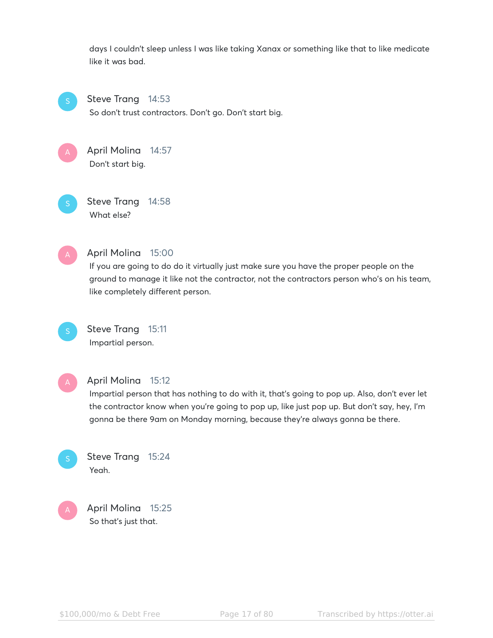days I couldn't sleep unless I was like taking Xanax or something like that to like medicate like it was bad.

Steve Trang 14:53 So don't trust contractors. Don't go. Don't start big.



April Molina 14:57 Don't start big.

Steve Trang 14:58 What else?



# April Molina 15:00

If you are going to do do it virtually just make sure you have the proper people on the ground to manage it like not the contractor, not the contractors person who's on his team, like completely different person.



# Steve Trang 15:11

Impartial person.



# April Molina 15:12

Impartial person that has nothing to do with it, that's going to pop up. Also, don't ever let the contractor know when you're going to pop up, like just pop up. But don't say, hey, I'm gonna be there 9am on Monday morning, because they're always gonna be there.



April Molina 15:25 So that's just that.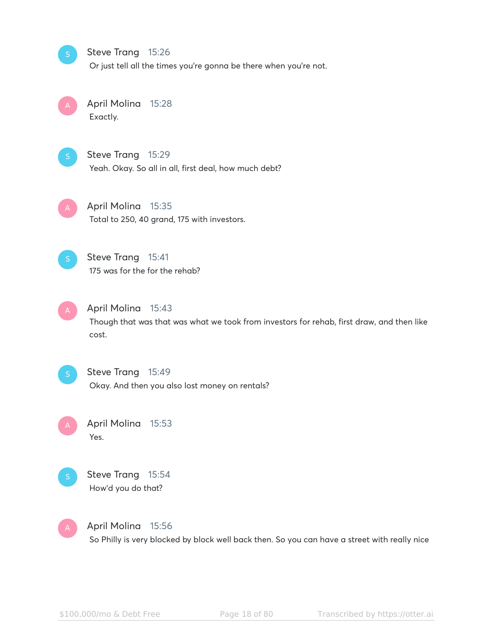Steve Trang 15:26 Or just tell all the times you're gonna be there when you're not. April Molina 15:28 Exactly. Steve Trang 15:29 Yeah. Okay. So all in all, first deal, how much debt? April Molina 15:35 Total to 250, 40 grand, 175 with investors. Steve Trang 15:41 175 was for the for the rehab? April Molina 15:43 Though that was that was what we took from investors for rehab, first draw, and then like cost.

Steve Trang 15:49 Okay. And then you also lost money on rentals?

April Molina 15:53 Yes.





April Molina 15:56

So Philly is very blocked by block well back then. So you can have a street with really nice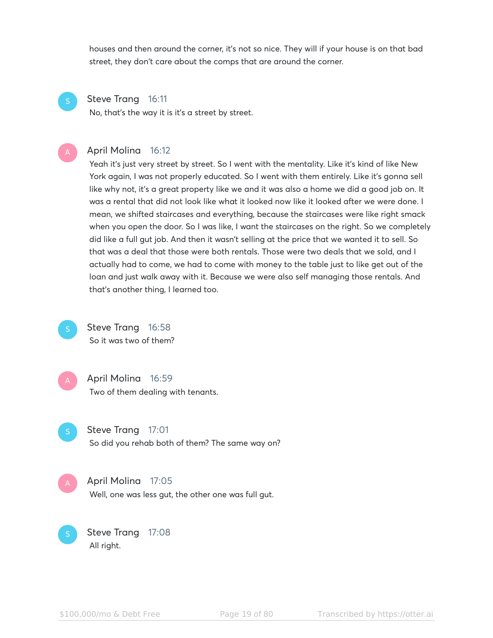houses and then around the corner, it's not so nice. They will if your house is on that bad street, they don't care about the comps that are around the corner.

#### Steve Trang 16:11

No, that's the way it is it's a street by street.

April Molina 16:12

Yeah it's just very street by street. So I went with the mentality. Like it's kind of like New York again, I was not properly educated. So I went with them entirely. Like it's gonna sell like why not, it's a great property like we and it was also a home we did a good job on. It was a rental that did not look like what it looked now like it looked after we were done. I mean, we shifted staircases and everything, because the staircases were like right smack when you open the door. So I was like, I want the staircases on the right. So we completely did like a full gut job. And then it wasn't selling at the price that we wanted it to sell. So that was a deal that those were both rentals. Those were two deals that we sold, and I actually had to come, we had to come with money to the table just to like get out of the loan and just walk away with it. Because we were also self managing those rentals. And that's another thing, I learned too.

- Steve Trang 16:58 So it was two of them?
- April Molina 16:59 Two of them dealing with tenants.
- Steve Trang 17:01 So did you rehab both of them? The same way on?
- April Molina 17:05 Well, one was less gut, the other one was full gut.

Steve Trang 17:08 All right.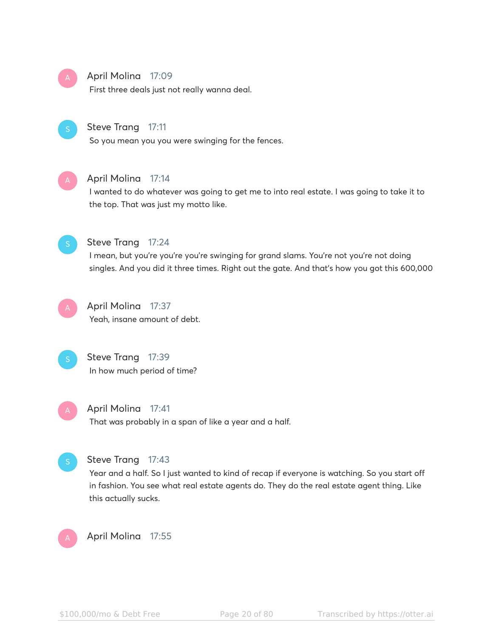

#### April Molina 17:09

First three deals just not really wanna deal.



#### Steve Trang 17:11

So you mean you you were swinging for the fences.



# April Molina 17:14

I wanted to do whatever was going to get me to into real estate. I was going to take it to the top. That was just my motto like.



#### Steve Trang 17:24

I mean, but you're you're you're swinging for grand slams. You're not you're not doing singles. And you did it three times. Right out the gate. And that's how you got this 600,000

April Molina 17:37 Yeah, insane amount of debt.



# April Molina 17:41

That was probably in a span of like a year and a half.



# Steve Trang 17:43

Year and a half. So I just wanted to kind of recap if everyone is watching. So you start off in fashion. You see what real estate agents do. They do the real estate agent thing. Like this actually sucks.



# April Molina 17:55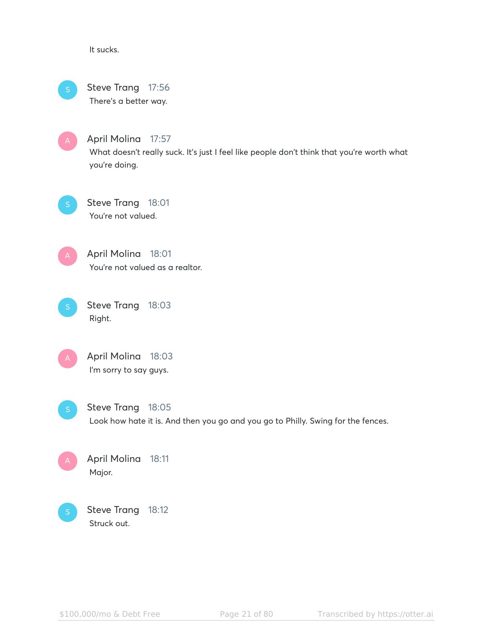It sucks.



April Molina 17:57 What doesn't really suck. It's just I feel like people don't think that you're worth what you're doing.

Steve Trang 18:01 You're not valued.

April Molina 18:01 You're not valued as a realtor.

Steve Trang 18:03 Right.



Steve Trang 18:05 Look how hate it is. And then you go and you go to Philly. Swing for the fences.

April Molina 18:11 Major.

Steve Trang 18:12 Struck out.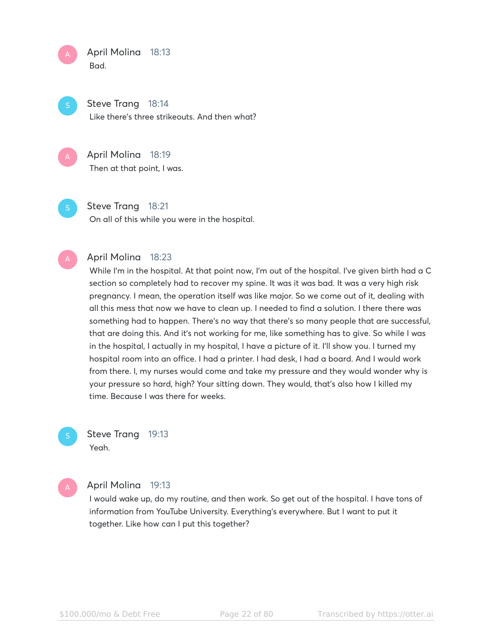April Molina 18:13 Bad.

Steve Trang 18:14 Like there's three strikeouts. And then what?



April Molina 18:19 Then at that point, I was.

Steve Trang 18:21 On all of this while you were in the hospital.



#### April Molina 18:23

While I'm in the hospital. At that point now, I'm out of the hospital. I've given birth had a C section so completely had to recover my spine. It was it was bad. It was a very high risk pregnancy. I mean, the operation itself was like major. So we come out of it, dealing with all this mess that now we have to clean up. I needed to find a solution. I there there was something had to happen. There's no way that there's so many people that are successful, that are doing this. And it's not working for me, like something has to give. So while I was in the hospital, I actually in my hospital, I have a picture of it. I'll show you. I turned my hospital room into an office. I had a printer. I had desk, I had a board. And I would work from there. I, my nurses would come and take my pressure and they would wonder why is your pressure so hard, high? Your sitting down. They would, that's also how I killed my time. Because I was there for weeks.

Steve Trang 19:13 Yeah.

# April Molina 19:13

I would wake up, do my routine, and then work. So get out of the hospital. I have tons of information from YouTube University. Everything's everywhere. But I want to put it together. Like how can I put this together?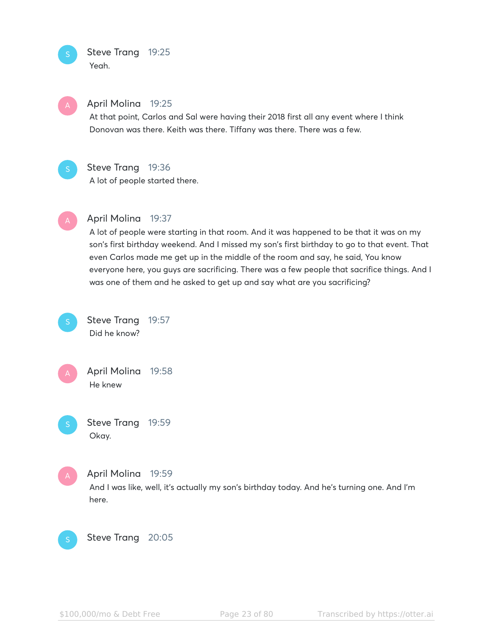Steve Trang 19:25 Yeah.



# April Molina 19:25

At that point, Carlos and Sal were having their 2018 first all any event where I think Donovan was there. Keith was there. Tiffany was there. There was a few.



#### Steve Trang 19:36

A lot of people started there.



# April Molina 19:37

A lot of people were starting in that room. And it was happened to be that it was on my son's first birthday weekend. And I missed my son's first birthday to go to that event. That even Carlos made me get up in the middle of the room and say, he said, You know everyone here, you guys are sacrificing. There was a few people that sacrifice things. And I was one of them and he asked to get up and say what are you sacrificing?



April Molina 19:58 He knew

Steve Trang 19:59 Okay.

April Molina 19:59 And I was like, well, it's actually my son's birthday today. And he's turning one. And I'm here.



Steve Trang 20:05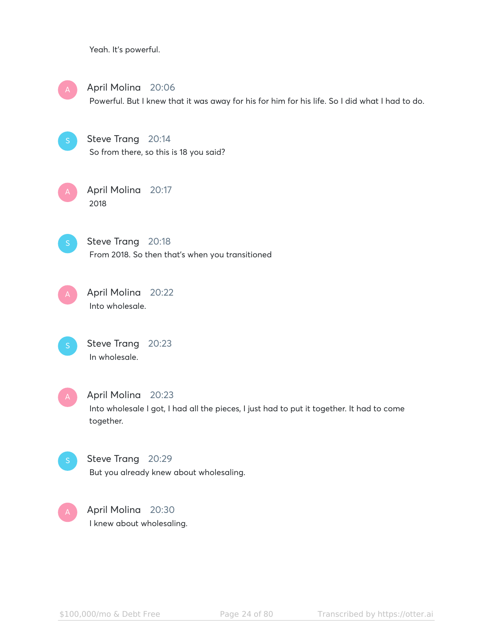Yeah. It's powerful.

# April Molina 20:06

Powerful. But I knew that it was away for his for him for his life. So I did what I had to do.

Steve Trang 20:14 So from there, so this is 18 you said?

April Molina 20:17 2018

Steve Trang 20:18 From 2018. So then that's when you transitioned

April Molina 20:22 Into wholesale.

Steve Trang 20:23 In wholesale.

April Molina 20:23 Into wholesale I got, I had all the pieces, I just had to put it together. It had to come together.

Steve Trang 20:29 But you already knew about wholesaling.

April Molina 20:30 I knew about wholesaling.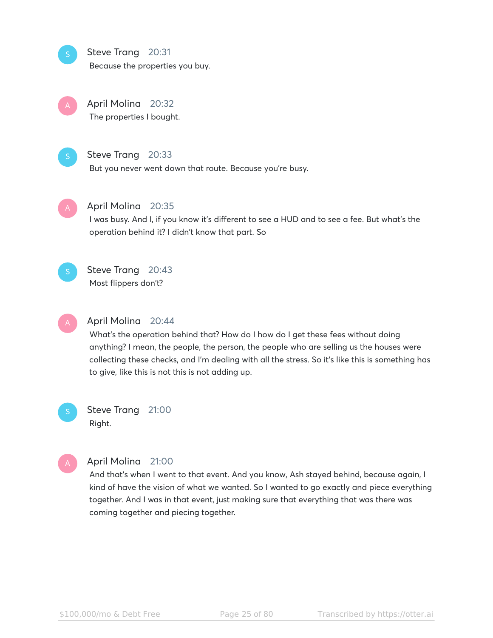Steve Trang 20:31 Because the properties you buy.

April Molina 20:32 The properties I bought.

## Steve Trang 20:33

But you never went down that route. Because you're busy.



# April Molina 20:35

I was busy. And I, if you know it's different to see a HUD and to see a fee. But what's the operation behind it? I didn't know that part. So

Steve Trang 20:43 Most flippers don't?



# April Molina 20:44

What's the operation behind that? How do I how do I get these fees without doing anything? I mean, the people, the person, the people who are selling us the houses were collecting these checks, and I'm dealing with all the stress. So it's like this is something has to give, like this is not this is not adding up.

Steve Trang 21:00 Right.

# April Molina 21:00

And that's when I went to that event. And you know, Ash stayed behind, because again, I kind of have the vision of what we wanted. So I wanted to go exactly and piece everything together. And I was in that event, just making sure that everything that was there was coming together and piecing together.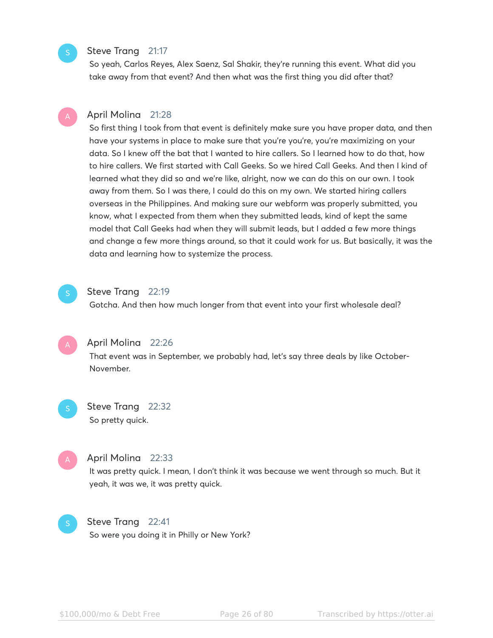#### Steve Trang 21:17

So yeah, Carlos Reyes, Alex Saenz, Sal Shakir, they're running this event. What did you take away from that event? And then what was the first thing you did after that?

# April Molina 21:28

So first thing I took from that event is definitely make sure you have proper data, and then have your systems in place to make sure that you're you're, you're maximizing on your data. So I knew off the bat that I wanted to hire callers. So I learned how to do that, how to hire callers. We first started with Call Geeks. So we hired Call Geeks. And then I kind of learned what they did so and we're like, alright, now we can do this on our own. I took away from them. So I was there, I could do this on my own. We started hiring callers overseas in the Philippines. And making sure our webform was properly submitted, you know, what I expected from them when they submitted leads, kind of kept the same model that Call Geeks had when they will submit leads, but I added a few more things and change a few more things around, so that it could work for us. But basically, it was the data and learning how to systemize the process.

#### Steve Trang 22:19

Gotcha. And then how much longer from that event into your first wholesale deal?



#### April Molina 22:26

That event was in September, we probably had, let's say three deals by like October-November.

Steve Trang 22:32 So pretty quick.

#### April Molina 22:33

It was pretty quick. I mean, I don't think it was because we went through so much. But it yeah, it was we, it was pretty quick.

#### Steve Trang 22:41

So were you doing it in Philly or New York?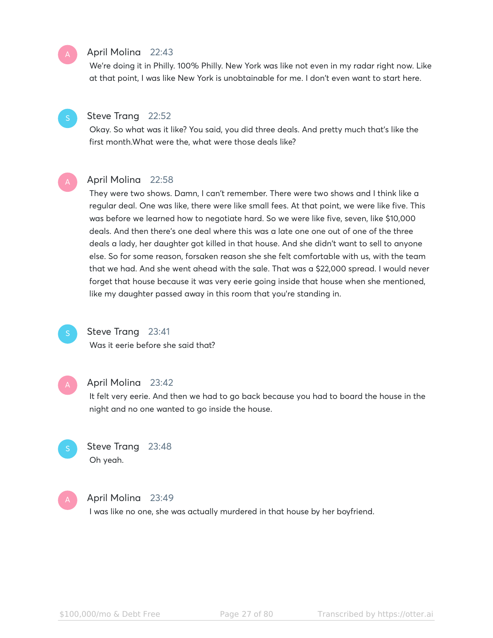#### April Molina 22:43

We're doing it in Philly. 100% Philly. New York was like not even in my radar right now. Like at that point, I was like New York is unobtainable for me. I don't even want to start here.

#### Steve Trang 22:52

Okay. So what was it like? You said, you did three deals. And pretty much that's like the first month.What were the, what were those deals like?

#### April Molina 22:58

They were two shows. Damn, I can't remember. There were two shows and I think like a regular deal. One was like, there were like small fees. At that point, we were like five. This was before we learned how to negotiate hard. So we were like five, seven, like \$10,000 deals. And then there's one deal where this was a late one one out of one of the three deals a lady, her daughter got killed in that house. And she didn't want to sell to anyone else. So for some reason, forsaken reason she she felt comfortable with us, with the team that we had. And she went ahead with the sale. That was a \$22,000 spread. I would never forget that house because it was very eerie going inside that house when she mentioned, like my daughter passed away in this room that you're standing in.



#### Steve Trang 23:41

Was it eerie before she said that?



#### April Molina 23:42

It felt very eerie. And then we had to go back because you had to board the house in the night and no one wanted to go inside the house.

Steve Trang 23:48 Oh yeah.



#### April Molina 23:49

I was like no one, she was actually murdered in that house by her boyfriend.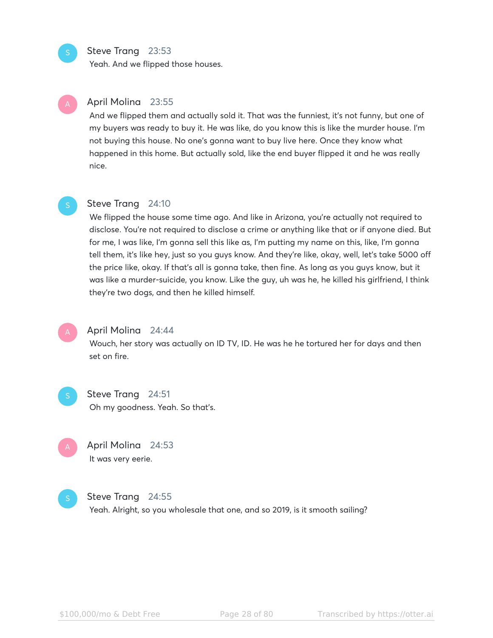#### Steve Trang 23:53

Yeah. And we flipped those houses.

# April Molina 23:55

And we flipped them and actually sold it. That was the funniest, it's not funny, but one of my buyers was ready to buy it. He was like, do you know this is like the murder house. I'm not buying this house. No one's gonna want to buy live here. Once they know what happened in this home. But actually sold, like the end buyer flipped it and he was really nice.

# Steve Trang 24:10

We flipped the house some time ago. And like in Arizona, you're actually not required to disclose. You're not required to disclose a crime or anything like that or if anyone died. But for me, I was like, I'm gonna sell this like as, I'm putting my name on this, like, I'm gonna tell them, it's like hey, just so you guys know. And they're like, okay, well, let's take 5000 off the price like, okay. If that's all is gonna take, then fine. As long as you guys know, but it was like a murder-suicide, you know. Like the guy, uh was he, he killed his girlfriend, I think they're two dogs, and then he killed himself.

#### April Molina 24:44

Wouch, her story was actually on ID TV, ID. He was he he tortured her for days and then set on fire.

- Steve Trang 24:51 Oh my goodness. Yeah. So that's.
	- April Molina 24:53 It was very eerie.

# Steve Trang 24:55

Yeah. Alright, so you wholesale that one, and so 2019, is it smooth sailing?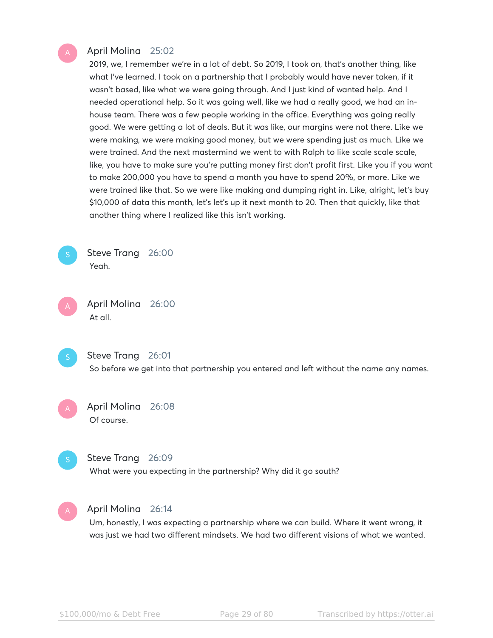# April Molina 25:02

2019, we, I remember we're in a lot of debt. So 2019, I took on, that's another thing, like what I've learned. I took on a partnership that I probably would have never taken, if it wasn't based, like what we were going through. And I just kind of wanted help. And I needed operational help. So it was going well, like we had a really good, we had an inhouse team. There was a few people working in the office. Everything was going really good. We were getting a lot of deals. But it was like, our margins were not there. Like we were making, we were making good money, but we were spending just as much. Like we were trained. And the next mastermind we went to with Ralph to like scale scale scale, like, you have to make sure you're putting money first don't profit first. Like you if you want to make 200,000 you have to spend a month you have to spend 20%, or more. Like we were trained like that. So we were like making and dumping right in. Like, alright, let's buy \$10,000 of data this month, let's let's up it next month to 20. Then that quickly, like that another thing where I realized like this isn't working.



Steve Trang 26:00 Yeah.

April Molina 26:00 At all.



Steve Trang 26:01

So before we get into that partnership you entered and left without the name any names.

April Molina 26:08 Of course.

#### Steve Trang 26:09

What were you expecting in the partnership? Why did it go south?



# April Molina 26:14

Um, honestly, I was expecting a partnership where we can build. Where it went wrong, it was just we had two different mindsets. We had two different visions of what we wanted.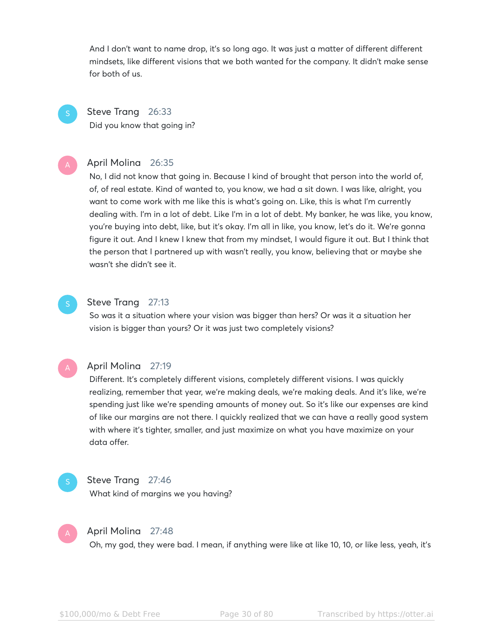And I don't want to name drop, it's so long ago. It was just a matter of different different mindsets, like different visions that we both wanted for the company. It didn't make sense for both of us.

Steve Trang 26:33 Did you know that going in?

# April Molina 26:35

No, I did not know that going in. Because I kind of brought that person into the world of, of, of real estate. Kind of wanted to, you know, we had a sit down. I was like, alright, you want to come work with me like this is what's going on. Like, this is what I'm currently dealing with. I'm in a lot of debt. Like I'm in a lot of debt. My banker, he was like, you know, you're buying into debt, like, but it's okay. I'm all in like, you know, let's do it. We're gonna figure it out. And I knew I knew that from my mindset, I would figure it out. But I think that the person that I partnered up with wasn't really, you know, believing that or maybe she wasn't she didn't see it.



#### Steve Trang 27:13

So was it a situation where your vision was bigger than hers? Or was it a situation her vision is bigger than yours? Or it was just two completely visions?



#### April Molina 27:19

Different. It's completely different visions, completely different visions. I was quickly realizing, remember that year, we're making deals, we're making deals. And it's like, we're spending just like we're spending amounts of money out. So it's like our expenses are kind of like our margins are not there. I quickly realized that we can have a really good system with where it's tighter, smaller, and just maximize on what you have maximize on your data offer.



#### Steve Trang 27:46

What kind of margins we you having?



# April Molina 27:48

Oh, my god, they were bad. I mean, if anything were like at like 10, 10, or like less, yeah, it's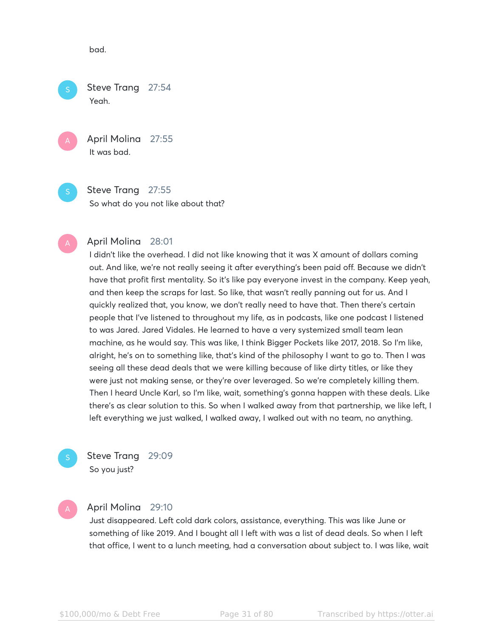bad.

Steve Trang 27:54 Yeah.

> April Molina 27:55 It was bad.

Steve Trang 27:55 So what do you not like about that?



# April Molina 28:01

I didn't like the overhead. I did not like knowing that it was X amount of dollars coming out. And like, we're not really seeing it after everything's been paid off. Because we didn't have that profit first mentality. So it's like pay everyone invest in the company. Keep yeah, and then keep the scraps for last. So like, that wasn't really panning out for us. And I quickly realized that, you know, we don't really need to have that. Then there's certain people that I've listened to throughout my life, as in podcasts, like one podcast I listened to was Jared. Jared Vidales. He learned to have a very systemized small team lean machine, as he would say. This was like, I think Bigger Pockets like 2017, 2018. So I'm like, alright, he's on to something like, that's kind of the philosophy I want to go to. Then I was seeing all these dead deals that we were killing because of like dirty titles, or like they were just not making sense, or they're over leveraged. So we're completely killing them. Then I heard Uncle Karl, so I'm like, wait, something's gonna happen with these deals. Like there's as clear solution to this. So when I walked away from that partnership, we like left, I left everything we just walked, I walked away, I walked out with no team, no anything.

Steve Trang 29:09 So you just?

April Molina 29:10

Just disappeared. Left cold dark colors, assistance, everything. This was like June or something of like 2019. And I bought all I left with was a list of dead deals. So when I left that office, I went to a lunch meeting, had a conversation about subject to. I was like, wait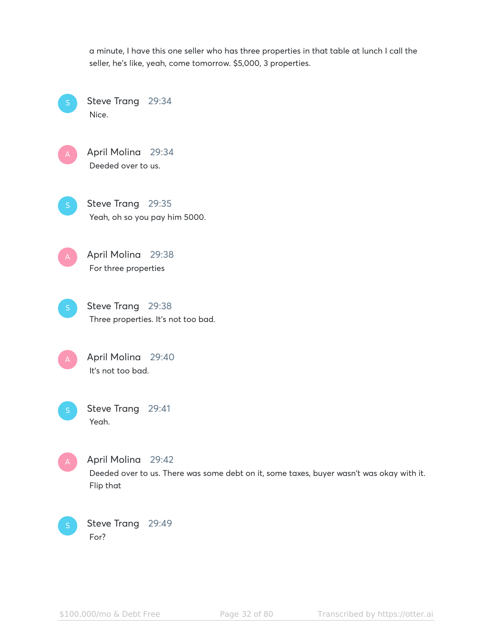a minute, I have this one seller who has three properties in that table at lunch I call the seller, he's like, yeah, come tomorrow. \$5,000, 3 properties.





Steve Trang 29:35 Yeah, oh so you pay him 5000.

April Molina 29:38 For three properties

Steve Trang 29:38 Three properties. It's not too bad.

April Molina 29:40 It's not too bad.

Steve Trang 29:41 Yeah.

April Molina 29:42 Deeded over to us. There was some debt on it, some taxes, buyer wasn't was okay with it. Flip that

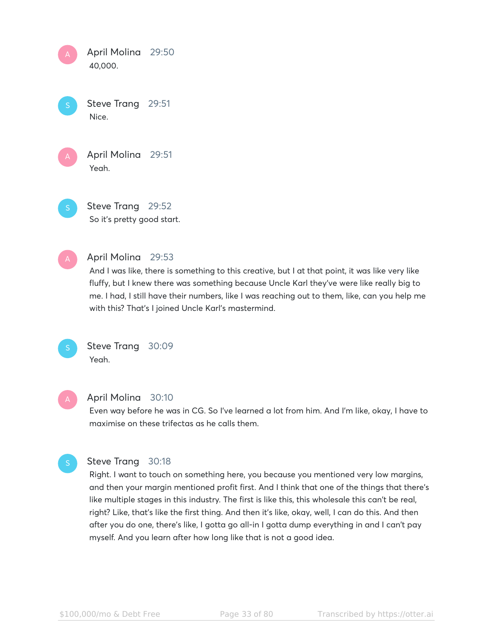

So it's pretty good start.



#### April Molina 29:53

And I was like, there is something to this creative, but I at that point, it was like very like fluffy, but I knew there was something because Uncle Karl they've were like really big to me. I had, I still have their numbers, like I was reaching out to them, like, can you help me with this? That's I joined Uncle Karl's mastermind.



Steve Trang 30:09 Yeah.



#### April Molina 30:10

Even way before he was in CG. So I've learned a lot from him. And I'm like, okay, I have to maximise on these trifectas as he calls them.



#### Steve Trang 30:18

Right. I want to touch on something here, you because you mentioned very low margins, and then your margin mentioned profit first. And I think that one of the things that there's like multiple stages in this industry. The first is like this, this wholesale this can't be real, right? Like, that's like the first thing. And then it's like, okay, well, I can do this. And then after you do one, there's like, I gotta go all-in I gotta dump everything in and I can't pay myself. And you learn after how long like that is not a good idea.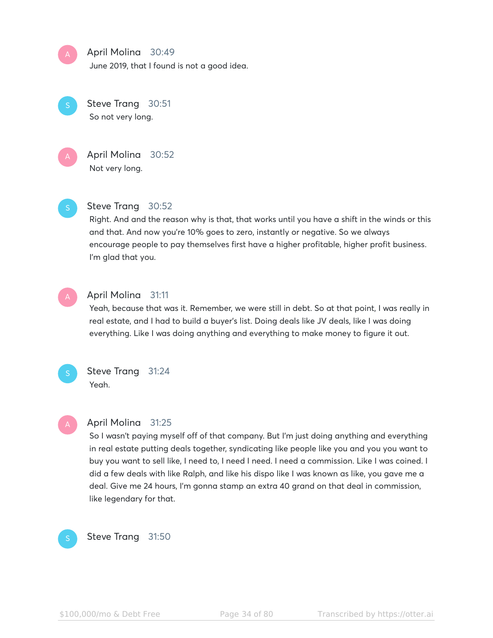#### April Molina 30:49

June 2019, that I found is not a good idea.





April Molina 30:52 Not very long.



#### Steve Trang 30:52

Right. And and the reason why is that, that works until you have a shift in the winds or this and that. And now you're 10% goes to zero, instantly or negative. So we always encourage people to pay themselves first have a higher profitable, higher profit business. I'm glad that you.



#### April Molina 31:11

Yeah, because that was it. Remember, we were still in debt. So at that point, I was really in real estate, and I had to build a buyer's list. Doing deals like JV deals, like I was doing everything. Like I was doing anything and everything to make money to figure it out.



# Steve Trang 31:24 Yeah.

# April Molina 31:25

So I wasn't paying myself off of that company. But I'm just doing anything and everything in real estate putting deals together, syndicating like people like you and you you want to buy you want to sell like, I need to, I need I need. I need a commission. Like I was coined. I did a few deals with like Ralph, and like his dispo like I was known as like, you gave me a deal. Give me 24 hours, I'm gonna stamp an extra 40 grand on that deal in commission, like legendary for that.

# Steve Trang 31:50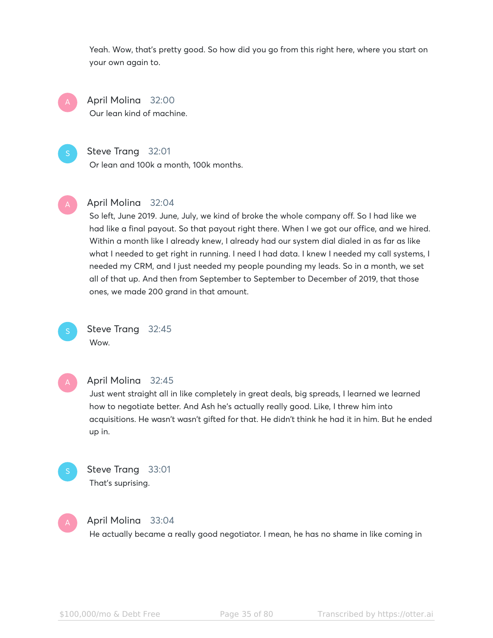Yeah. Wow, that's pretty good. So how did you go from this right here, where you start on your own again to.



April Molina 32:00 Our lean kind of machine.



# Steve Trang 32:01

Or lean and 100k a month, 100k months.

# April Molina 32:04

So left, June 2019. June, July, we kind of broke the whole company off. So I had like we had like a final payout. So that payout right there. When I we got our office, and we hired. Within a month like I already knew, I already had our system dial dialed in as far as like what I needed to get right in running. I need I had data. I knew I needed my call systems, I needed my CRM, and I just needed my people pounding my leads. So in a month, we set all of that up. And then from September to September to December of 2019, that those ones, we made 200 grand in that amount.



# Steve Trang 32:45 Wow.



# April Molina 32:45

Just went straight all in like completely in great deals, big spreads, I learned we learned how to negotiate better. And Ash he's actually really good. Like, I threw him into acquisitions. He wasn't wasn't gifted for that. He didn't think he had it in him. But he ended up in.



# April Molina 33:04

He actually became a really good negotiator. I mean, he has no shame in like coming in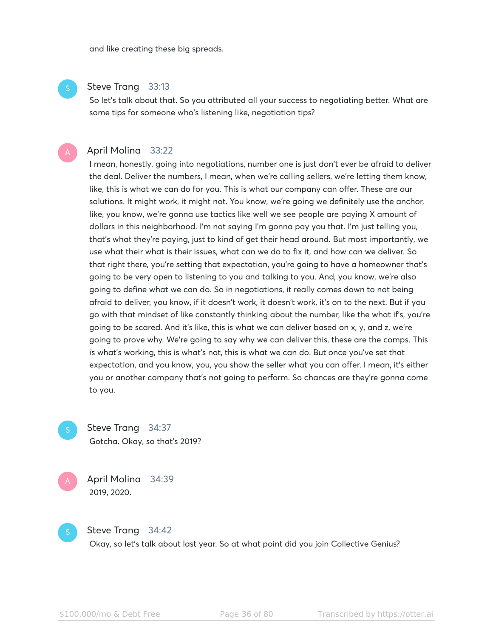and like creating these big spreads.

#### Steve Trang 33:13

So let's talk about that. So you attributed all your success to negotiating better. What are some tips for someone who's listening like, negotiation tips?

#### April Molina 33:22

I mean, honestly, going into negotiations, number one is just don't ever be afraid to deliver the deal. Deliver the numbers, I mean, when we're calling sellers, we're letting them know, like, this is what we can do for you. This is what our company can offer. These are our solutions. It might work, it might not. You know, we're going we definitely use the anchor, like, you know, we're gonna use tactics like well we see people are paying X amount of dollars in this neighborhood. I'm not saying I'm gonna pay you that. I'm just telling you, that's what they're paying, just to kind of get their head around. But most importantly, we use what their what is their issues, what can we do to fix it, and how can we deliver. So that right there, you're setting that expectation, you're going to have a homeowner that's going to be very open to listening to you and talking to you. And, you know, we're also going to define what we can do. So in negotiations, it really comes down to not being afraid to deliver, you know, if it doesn't work, it doesn't work, it's on to the next. But if you go with that mindset of like constantly thinking about the number, like the what if's, you're going to be scared. And it's like, this is what we can deliver based on x, y, and z, we're going to prove why. We're going to say why we can deliver this, these are the comps. This is what's working, this is what's not, this is what we can do. But once you've set that expectation, and you know, you, you show the seller what you can offer. I mean, it's either you or another company that's not going to perform. So chances are they're gonna come to you.

Steve Trang 34:37 Gotcha. Okay, so that's 2019?

April Molina 34:39 2019, 2020.



Steve Trang 34:42

Okay, so let's talk about last year. So at what point did you join Collective Genius?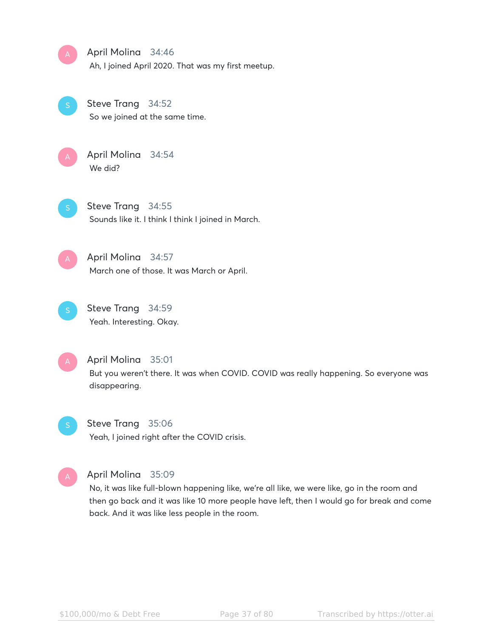April Molina 34:46

Ah, I joined April 2020. That was my first meetup.

Steve Trang 34:52 So we joined at the same time.

April Molina 34:54 We did?

Steve Trang 34:55 Sounds like it. I think I think I joined in March.

April Molina 34:57 March one of those. It was March or April.

Steve Trang 34:59 Yeah. Interesting. Okay.

> April Molina 35:01 But you weren't there. It was when COVID. COVID was really happening. So everyone was disappearing.

Steve Trang 35:06 Yeah, I joined right after the COVID crisis.

# April Molina 35:09

No, it was like full-blown happening like, we're all like, we were like, go in the room and then go back and it was like 10 more people have left, then I would go for break and come back. And it was like less people in the room.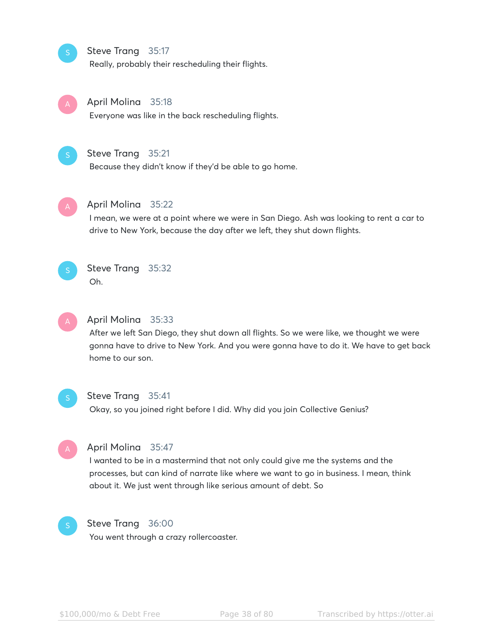

#### Steve Trang 35:17

Really, probably their rescheduling their flights.



# April Molina 35:18

Everyone was like in the back rescheduling flights.



# Steve Trang 35:21

Because they didn't know if they'd be able to go home.



# April Molina 35:22

I mean, we were at a point where we were in San Diego. Ash was looking to rent a car to drive to New York, because the day after we left, they shut down flights.



# Steve Trang 35:32 Oh.



# April Molina 35:33

After we left San Diego, they shut down all flights. So we were like, we thought we were gonna have to drive to New York. And you were gonna have to do it. We have to get back home to our son.



## Steve Trang 35:41

Okay, so you joined right before I did. Why did you join Collective Genius?



# April Molina 35:47

I wanted to be in a mastermind that not only could give me the systems and the processes, but can kind of narrate like where we want to go in business. I mean, think about it. We just went through like serious amount of debt. So

## Steve Trang 36:00

You went through a crazy rollercoaster.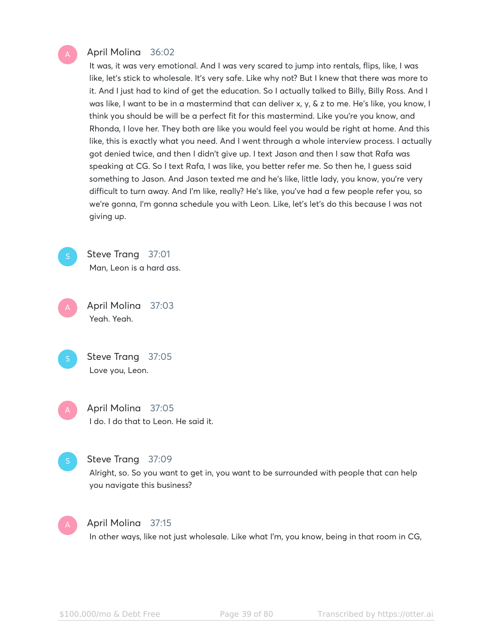### April Molina 36:02

It was, it was very emotional. And I was very scared to jump into rentals, flips, like, I was like, let's stick to wholesale. It's very safe. Like why not? But I knew that there was more to it. And I just had to kind of get the education. So I actually talked to Billy, Billy Ross. And I was like, I want to be in a mastermind that can deliver x, y, & z to me. He's like, you know, I think you should be will be a perfect fit for this mastermind. Like you're you know, and Rhonda, I love her. They both are like you would feel you would be right at home. And this like, this is exactly what you need. And I went through a whole interview process. I actually got denied twice, and then I didn't give up. I text Jason and then I saw that Rafa was speaking at CG. So I text Rafa, I was like, you better refer me. So then he, I guess said something to Jason. And Jason texted me and he's like, little lady, you know, you're very difficult to turn away. And I'm like, really? He's like, you've had a few people refer you, so we're gonna, I'm gonna schedule you with Leon. Like, let's let's do this because I was not giving up.



Steve Trang 37:01 Man, Leon is a hard ass.

April Molina 37:03 Yeah. Yeah.



April Molina 37:05 I do. I do that to Leon. He said it.



#### Steve Trang 37:09

Alright, so. So you want to get in, you want to be surrounded with people that can help you navigate this business?



#### April Molina 37:15

In other ways, like not just wholesale. Like what I'm, you know, being in that room in CG,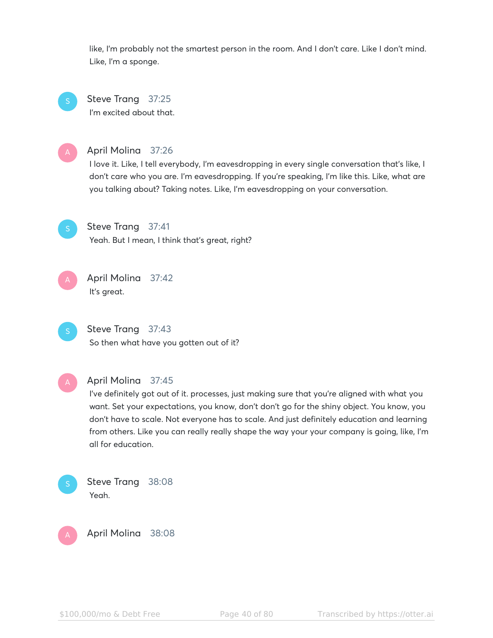like, I'm probably not the smartest person in the room. And I don't care. Like I don't mind. Like, I'm a sponge.

Steve Trang 37:25 I'm excited about that.



# April Molina 37:26

I love it. Like, I tell everybody, I'm eavesdropping in every single conversation that's like, I don't care who you are. I'm eavesdropping. If you're speaking, I'm like this. Like, what are you talking about? Taking notes. Like, I'm eavesdropping on your conversation.



# Steve Trang 37:41

Yeah. But I mean, I think that's great, right?

- - April Molina 37:42 It's great.
- Steve Trang 37:43 So then what have you gotten out of it?



# April Molina 37:45

I've definitely got out of it. processes, just making sure that you're aligned with what you want. Set your expectations, you know, don't don't go for the shiny object. You know, you don't have to scale. Not everyone has to scale. And just definitely education and learning from others. Like you can really really shape the way your your company is going, like, I'm all for education.





April Molina 38:08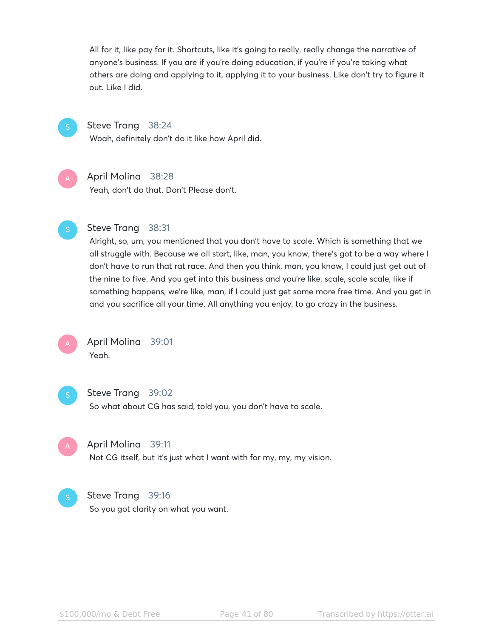All for it, like pay for it. Shortcuts, like it's going to really, really change the narrative of anyone's business. If you are if you're doing education, if you're if you're taking what others are doing and applying to it, applying it to your business. Like don't try to figure it out. Like I did.



# Steve Trang 38:24

Woah, definitely don't do it like how April did.

# April Molina 38:28

Yeah, don't do that. Don't Please don't.



## Steve Trang 38:31

Alright, so, um, you mentioned that you don't have to scale. Which is something that we all struggle with. Because we all start, like, man, you know, there's got to be a way where I don't have to run that rat race. And then you think, man, you know, I could just get out of the nine to five. And you get into this business and you're like, scale, scale scale, like if something happens, we're like, man, if I could just get some more free time. And you get in and you sacrifice all your time. All anything you enjoy, to go crazy in the business.



April Molina 39:01



#### Steve Trang 39:02

So what about CG has said, told you, you don't have to scale.

## April Molina 39:11

Not CG itself, but it's just what I want with for my, my, my vision.



So you got clarity on what you want.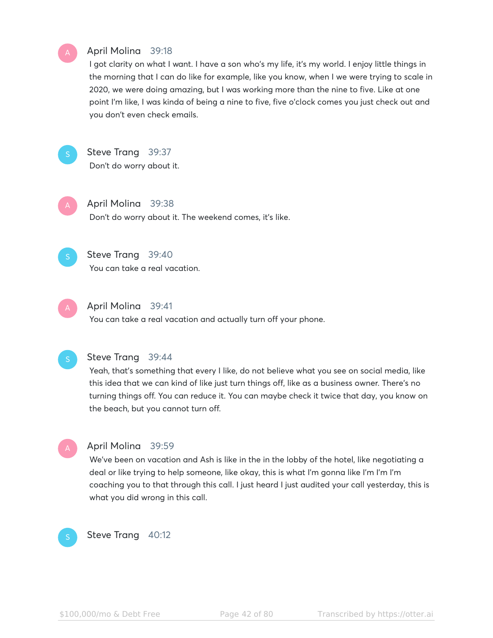# April Molina 39:18

I got clarity on what I want. I have a son who's my life, it's my world. I enjoy little things in the morning that I can do like for example, like you know, when I we were trying to scale in 2020, we were doing amazing, but I was working more than the nine to five. Like at one point I'm like, I was kinda of being a nine to five, five o'clock comes you just check out and you don't even check emails.



Steve Trang 39:37 Don't do worry about it.



April Molina 39:38 Don't do worry about it. The weekend comes, it's like.



You can take a real vacation.

Steve Trang 39:40



April Molina 39:41

You can take a real vacation and actually turn off your phone.



#### Steve Trang 39:44

Yeah, that's something that every I like, do not believe what you see on social media, like this idea that we can kind of like just turn things off, like as a business owner. There's no turning things off. You can reduce it. You can maybe check it twice that day, you know on the beach, but you cannot turn off.



#### April Molina 39:59

We've been on vacation and Ash is like in the in the lobby of the hotel, like negotiating a deal or like trying to help someone, like okay, this is what I'm gonna like I'm I'm I'm coaching you to that through this call. I just heard I just audited your call yesterday, this is what you did wrong in this call.

## Steve Trang 40:12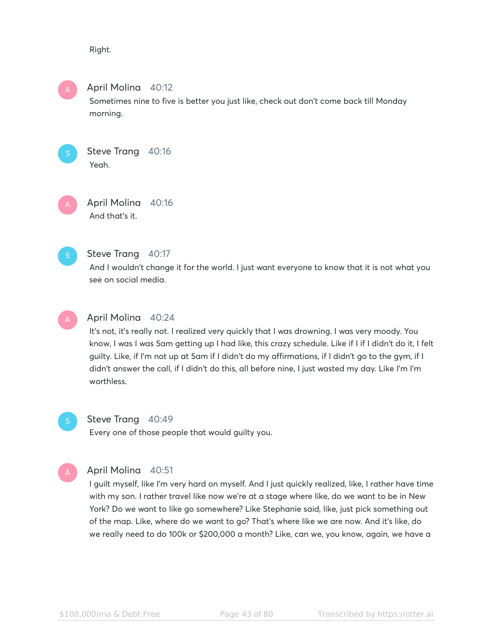Right.



# April Molina 40:12

Sometimes nine to five is better you just like, check out don't come back till Monday morning.



Steve Trang 40:16 Yeah.

April Molina 40:16 And that's it.



## Steve Trang 40:17

And I wouldn't change it for the world. I just want everyone to know that it is not what you see on social media.



#### April Molina 40:24

It's not, it's really not. I realized very quickly that I was drowning. I was very moody. You know, I was I was 5am getting up I had like, this crazy schedule. Like if I if I didn't do it, I felt guilty. Like, if I'm not up at 5am if I didn't do my affirmations, if I didn't go to the gym, if I didn't answer the call, if I didn't do this, all before nine, I just wasted my day. Like I'm I'm worthless.



#### Steve Trang 40:49

Every one of those people that would guilty you.

#### April Molina 40:51

I guilt myself, like I'm very hard on myself. And I just quickly realized, like, I rather have time with my son. I rather travel like now we're at a stage where like, do we want to be in New York? Do we want to like go somewhere? Like Stephanie said, like, just pick something out of the map. Like, where do we want to go? That's where like we are now. And it's like, do we really need to do 100k or \$200,000 a month? Like, can we, you know, again, we have a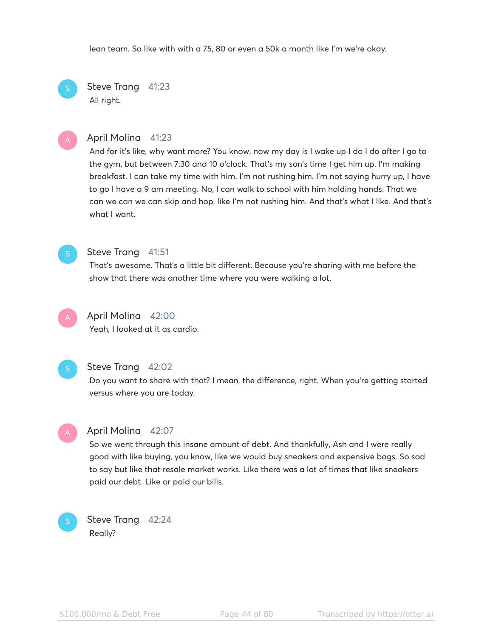lean team. So like with with a 75, 80 or even a 50k a month like I'm we're okay.

Steve Trang 41:23 All right.

## April Molina 41:23

And for it's like, why want more? You know, now my day is I wake up I do I do after I go to the gym, but between 7:30 and 10 o'clock. That's my son's time I get him up. I'm making breakfast. I can take my time with him. I'm not rushing him. I'm not saying hurry up, I have to go I have a 9 am meeting. No, I can walk to school with him holding hands. That we can we can we can skip and hop, like I'm not rushing him. And that's what I like. And that's what I want.



#### Steve Trang 41:51

That's awesome. That's a little bit different. Because you're sharing with me before the show that there was another time where you were walking a lot.



#### April Molina 42:00

Yeah, I looked at it as cardio.



#### Steve Trang 42:02

Do you want to share with that? I mean, the difference, right. When you're getting started versus where you are today.



#### April Molina 42:07

So we went through this insane amount of debt. And thankfully, Ash and I were really good with like buying, you know, like we would buy sneakers and expensive bags. So sad to say but like that resale market works. Like there was a lot of times that like sneakers paid our debt. Like or paid our bills.

Steve Trang 42:24 Really?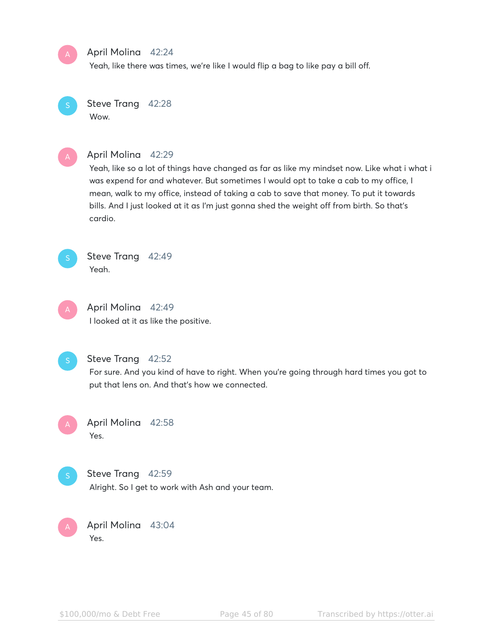# April Molina 42:24

Yeah, like there was times, we're like I would flip a bag to like pay a bill off.

Steve Trang 42:28 Wow.



# April Molina 42:29

Yeah, like so a lot of things have changed as far as like my mindset now. Like what i what i was expend for and whatever. But sometimes I would opt to take a cab to my office, I mean, walk to my office, instead of taking a cab to save that money. To put it towards bills. And I just looked at it as I'm just gonna shed the weight off from birth. So that's cardio.



Steve Trang 42:49 Yeah.





#### Steve Trang 42:52

For sure. And you kind of have to right. When you're going through hard times you got to put that lens on. And that's how we connected.





Steve Trang 42:59

Alright. So I get to work with Ash and your team.

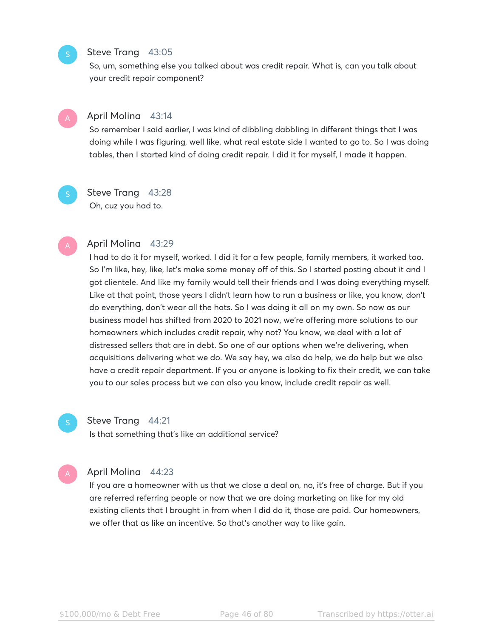#### Steve Trang 43:05

So, um, something else you talked about was credit repair. What is, can you talk about your credit repair component?

#### April Molina 43:14

So remember I said earlier, I was kind of dibbling dabbling in different things that I was doing while I was figuring, well like, what real estate side I wanted to go to. So I was doing tables, then I started kind of doing credit repair. I did it for myself, I made it happen.

Steve Trang 43:28 Oh, cuz you had to.

#### April Molina 43:29

I had to do it for myself, worked. I did it for a few people, family members, it worked too. So I'm like, hey, like, let's make some money off of this. So I started posting about it and I got clientele. And like my family would tell their friends and I was doing everything myself. Like at that point, those years I didn't learn how to run a business or like, you know, don't do everything, don't wear all the hats. So I was doing it all on my own. So now as our business model has shifted from 2020 to 2021 now, we're offering more solutions to our homeowners which includes credit repair, why not? You know, we deal with a lot of distressed sellers that are in debt. So one of our options when we're delivering, when acquisitions delivering what we do. We say hey, we also do help, we do help but we also have a credit repair department. If you or anyone is looking to fix their credit, we can take you to our sales process but we can also you know, include credit repair as well.



#### Steve Trang 44:21

Is that something that's like an additional service?



#### April Molina 44:23

If you are a homeowner with us that we close a deal on, no, it's free of charge. But if you are referred referring people or now that we are doing marketing on like for my old existing clients that I brought in from when I did do it, those are paid. Our homeowners, we offer that as like an incentive. So that's another way to like gain.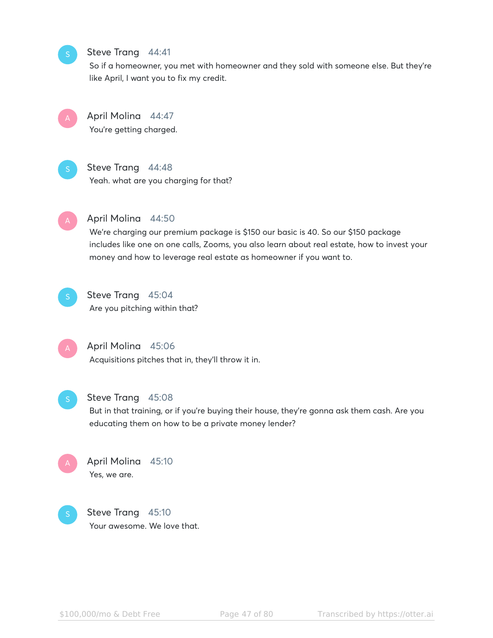# Steve Trang 44:41

So if a homeowner, you met with homeowner and they sold with someone else. But they're like April, I want you to fix my credit.

April Molina 44:47 You're getting charged.

Steve Trang 44:48 Yeah. what are you charging for that?



#### April Molina 44:50

We're charging our premium package is \$150 our basic is 40. So our \$150 package includes like one on one calls, Zooms, you also learn about real estate, how to invest your money and how to leverage real estate as homeowner if you want to.

Steve Trang 45:04 Are you pitching within that?



#### April Molina 45:06

Acquisitions pitches that in, they'll throw it in.



## Steve Trang 45:08

But in that training, or if you're buying their house, they're gonna ask them cash. Are you educating them on how to be a private money lender?



Steve Trang 45:10 Your awesome. We love that.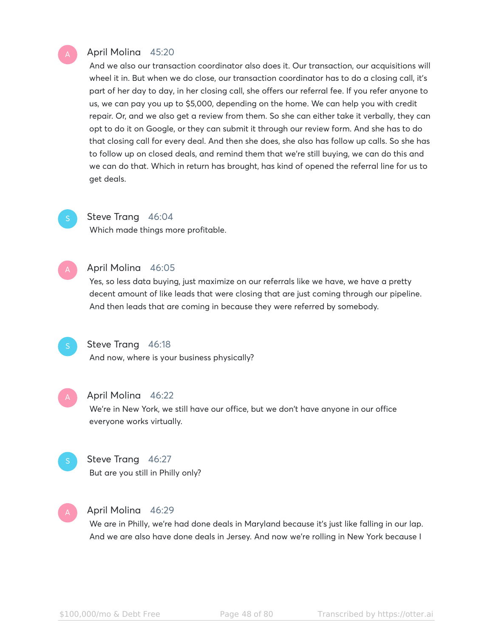## April Molina 45:20

And we also our transaction coordinator also does it. Our transaction, our acquisitions will wheel it in. But when we do close, our transaction coordinator has to do a closing call, it's part of her day to day, in her closing call, she offers our referral fee. If you refer anyone to us, we can pay you up to \$5,000, depending on the home. We can help you with credit repair. Or, and we also get a review from them. So she can either take it verbally, they can opt to do it on Google, or they can submit it through our review form. And she has to do that closing call for every deal. And then she does, she also has follow up calls. So she has to follow up on closed deals, and remind them that we're still buying, we can do this and we can do that. Which in return has brought, has kind of opened the referral line for us to get deals.

## Steve Trang 46:04

Which made things more profitable.



#### April Molina 46:05

Yes, so less data buying, just maximize on our referrals like we have, we have a pretty decent amount of like leads that were closing that are just coming through our pipeline. And then leads that are coming in because they were referred by somebody.



## Steve Trang 46:18

And now, where is your business physically?

#### April Molina 46:22

We're in New York, we still have our office, but we don't have anyone in our office everyone works virtually.

- Steve Trang 46:27 But are you still in Philly only?
- April Molina 46:29

We are in Philly, we're had done deals in Maryland because it's just like falling in our lap. And we are also have done deals in Jersey. And now we're rolling in New York because I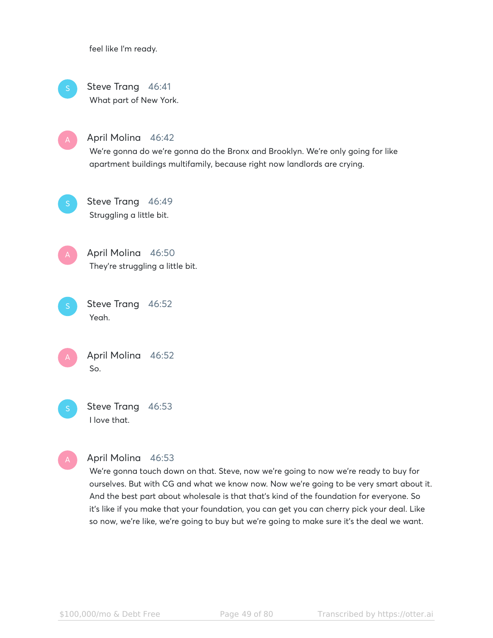feel like I'm ready.

Steve Trang 46:41 What part of New York.

April Molina 46:42 We're gonna do we're gonna do the Bronx and Brooklyn. We're only going for like apartment buildings multifamily, because right now landlords are crying.

Steve Trang 46:49 Struggling a little bit.



Steve Trang 46:52 Yeah.



Steve Trang 46:53 I love that.

# April Molina 46:53

We're gonna touch down on that. Steve, now we're going to now we're ready to buy for ourselves. But with CG and what we know now. Now we're going to be very smart about it. And the best part about wholesale is that that's kind of the foundation for everyone. So it's like if you make that your foundation, you can get you can cherry pick your deal. Like so now, we're like, we're going to buy but we're going to make sure it's the deal we want.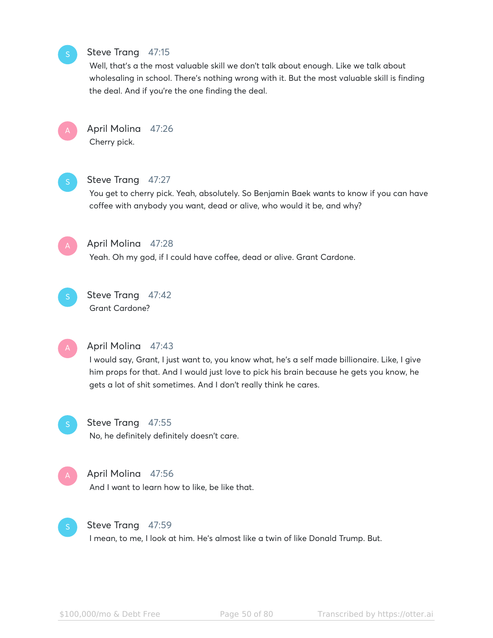# Steve Trang 47:15

Well, that's a the most valuable skill we don't talk about enough. Like we talk about wholesaling in school. There's nothing wrong with it. But the most valuable skill is finding the deal. And if you're the one finding the deal.



#### Steve Trang 47:27

You get to cherry pick. Yeah, absolutely. So Benjamin Baek wants to know if you can have coffee with anybody you want, dead or alive, who would it be, and why?



April Molina 47:28 Yeah. Oh my god, if I could have coffee, dead or alive. Grant Cardone.

Steve Trang 47:42 Grant Cardone?



# April Molina 47:43

I would say, Grant, I just want to, you know what, he's a self made billionaire. Like, I give him props for that. And I would just love to pick his brain because he gets you know, he gets a lot of shit sometimes. And I don't really think he cares.



# Steve Trang 47:55

No, he definitely definitely doesn't care.



#### April Molina 47:56

And I want to learn how to like, be like that.



#### Steve Trang 47:59

I mean, to me, I look at him. He's almost like a twin of like Donald Trump. But.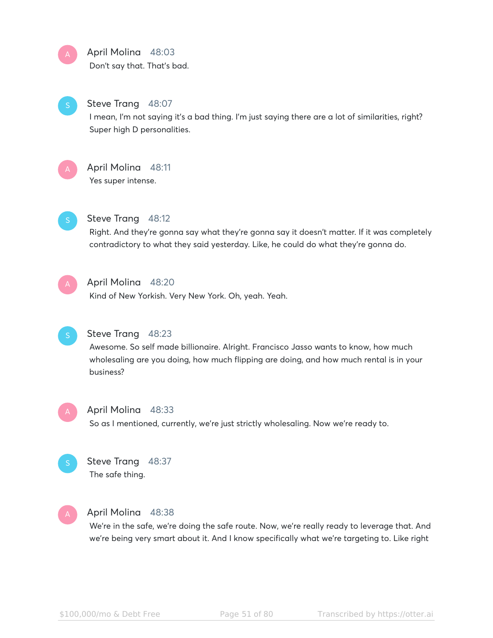# April Molina 48:03

Don't say that. That's bad.



# Steve Trang 48:07

I mean, I'm not saying it's a bad thing. I'm just saying there are a lot of similarities, right? Super high D personalities.



# April Molina 48:11

Yes super intense.



# Steve Trang 48:12

Right. And they're gonna say what they're gonna say it doesn't matter. If it was completely contradictory to what they said yesterday. Like, he could do what they're gonna do.



#### April Molina 48:20

Kind of New Yorkish. Very New York. Oh, yeah. Yeah.



# Steve Trang 48:23

Awesome. So self made billionaire. Alright. Francisco Jasso wants to know, how much wholesaling are you doing, how much flipping are doing, and how much rental is in your business?



## April Molina 48:33

So as I mentioned, currently, we're just strictly wholesaling. Now we're ready to.





## April Molina 48:38

We're in the safe, we're doing the safe route. Now, we're really ready to leverage that. And we're being very smart about it. And I know specifically what we're targeting to. Like right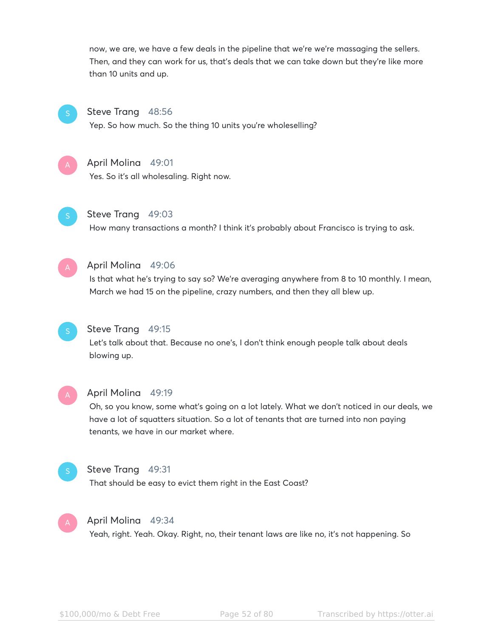now, we are, we have a few deals in the pipeline that we're we're massaging the sellers. Then, and they can work for us, that's deals that we can take down but they're like more than 10 units and up.



Yep. So how much. So the thing 10 units you're wholeselling?



# April Molina 49:01

Yes. So it's all wholesaling. Right now.



#### Steve Trang 49:03

How many transactions a month? I think it's probably about Francisco is trying to ask.



## April Molina 49:06

Is that what he's trying to say so? We're averaging anywhere from 8 to 10 monthly. I mean, March we had 15 on the pipeline, crazy numbers, and then they all blew up.



## Steve Trang 49:15

Let's talk about that. Because no one's, I don't think enough people talk about deals blowing up.



## April Molina 49:19

Oh, so you know, some what's going on a lot lately. What we don't noticed in our deals, we have a lot of squatters situation. So a lot of tenants that are turned into non paying tenants, we have in our market where.



# Steve Trang 49:31

That should be easy to evict them right in the East Coast?



### April Molina 49:34

Yeah, right. Yeah. Okay. Right, no, their tenant laws are like no, it's not happening. So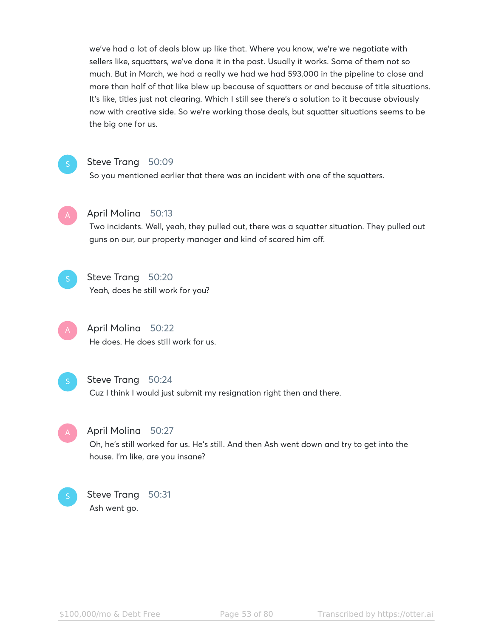we've had a lot of deals blow up like that. Where you know, we're we negotiate with sellers like, squatters, we've done it in the past. Usually it works. Some of them not so much. But in March, we had a really we had we had 593,000 in the pipeline to close and more than half of that like blew up because of squatters or and because of title situations. It's like, titles just not clearing. Which I still see there's a solution to it because obviously now with creative side. So we're working those deals, but squatter situations seems to be the big one for us.

# Steve Trang 50:09

So you mentioned earlier that there was an incident with one of the squatters.



#### April Molina 50:13

Two incidents. Well, yeah, they pulled out, there was a squatter situation. They pulled out guns on our, our property manager and kind of scared him off.

- Steve Trang 50:20 Yeah, does he still work for you?
- April Molina 50:22 He does. He does still work for us.
- Steve Trang 50:24 Cuz I think I would just submit my resignation right then and there.
- April Molina 50:27

Oh, he's still worked for us. He's still. And then Ash went down and try to get into the house. I'm like, are you insane?

Steve Trang 50:31 Ash went go.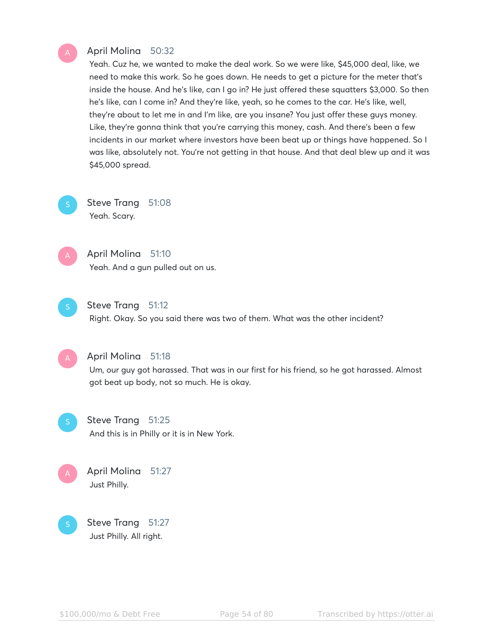# April Molina 50:32

Yeah. Cuz he, we wanted to make the deal work. So we were like, \$45,000 deal, like, we need to make this work. So he goes down. He needs to get a picture for the meter that's inside the house. And he's like, can I go in? He just offered these squatters \$3,000. So then he's like, can I come in? And they're like, yeah, so he comes to the car. He's like, well, they're about to let me in and I'm like, are you insane? You just offer these guys money. Like, they're gonna think that you're carrying this money, cash. And there's been a few incidents in our market where investors have been beat up or things have happened. So I was like, absolutely not. You're not getting in that house. And that deal blew up and it was \$45,000 spread.

Steve Trang 51:08 Yeah. Scary.



Steve Trang 51:12

Right. Okay. So you said there was two of them. What was the other incident?



#### April Molina 51:18

Um, our guy got harassed. That was in our first for his friend, so he got harassed. Almost got beat up body, not so much. He is okay.

Steve Trang 51:25 And this is in Philly or it is in New York.



Steve Trang 51:27 Just Philly. All right.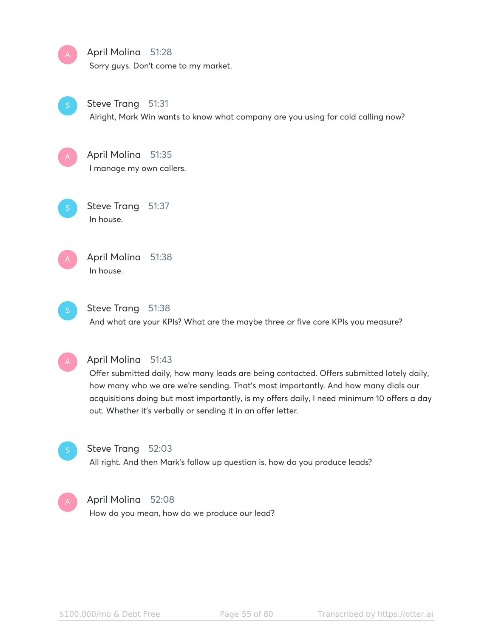April Molina 51:28

Sorry guys. Don't come to my market.



Steve Trang 51:31

Alright, Mark Win wants to know what company are you using for cold calling now?

April Molina 51:35 I manage my own callers.

Steve Trang 51:37 In house.

April Molina 51:38 In house.



Steve Trang 51:38

And what are your KPIs? What are the maybe three or five core KPIs you measure?



## April Molina 51:43

Offer submitted daily, how many leads are being contacted. Offers submitted lately daily, how many who we are we're sending. That's most importantly. And how many dials our acquisitions doing but most importantly, is my offers daily, I need minimum 10 offers a day out. Whether it's verbally or sending it in an offer letter.



## Steve Trang 52:03

All right. And then Mark's follow up question is, how do you produce leads?



#### April Molina 52:08

How do you mean, how do we produce our lead?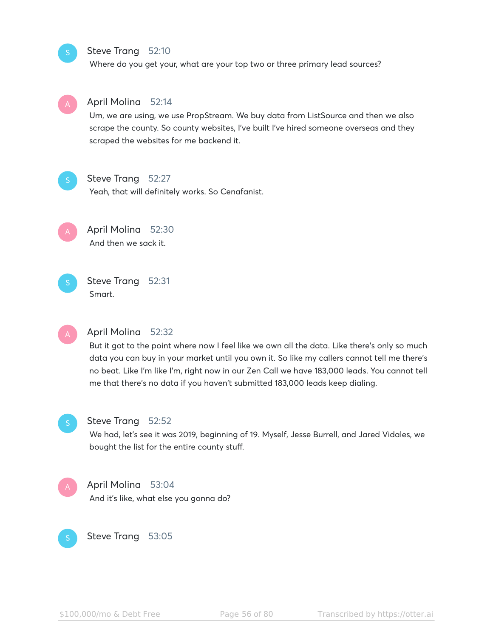# Steve Trang 52:10

Where do you get your, what are your top two or three primary lead sources?



#### April Molina 52:14

Um, we are using, we use PropStream. We buy data from ListSource and then we also scrape the county. So county websites, I've built I've hired someone overseas and they scraped the websites for me backend it.



#### Steve Trang 52:27

Yeah, that will definitely works. So Cenafanist.

April Molina 52:30 And then we sack it.

Steve Trang 52:31 Smart.



# April Molina 52:32

But it got to the point where now I feel like we own all the data. Like there's only so much data you can buy in your market until you own it. So like my callers cannot tell me there's no beat. Like I'm like I'm, right now in our Zen Call we have 183,000 leads. You cannot tell me that there's no data if you haven't submitted 183,000 leads keep dialing.



#### Steve Trang 52:52

We had, let's see it was 2019, beginning of 19. Myself, Jesse Burrell, and Jared Vidales, we bought the list for the entire county stuff.

April Molina 53:04 And it's like, what else you gonna do?



Steve Trang 53:05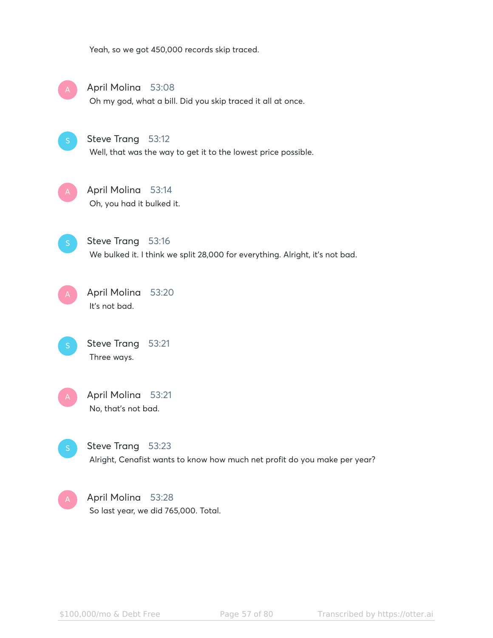Yeah, so we got 450,000 records skip traced.



April Molina 53:08

Oh my god, what a bill. Did you skip traced it all at once.

Steve Trang 53:12 Well, that was the way to get it to the lowest price possible.

April Molina 53:14 Oh, you had it bulked it.

Steve Trang 53:16 We bulked it. I think we split 28,000 for everything. Alright, it's not bad.

April Molina 53:20 It's not bad.

Steve Trang 53:21 Three ways.

April Molina 53:21 No, that's not bad.

> Steve Trang 53:23 Alright, Cenafist wants to know how much net profit do you make per year?

April Molina 53:28 So last year, we did 765,000. Total.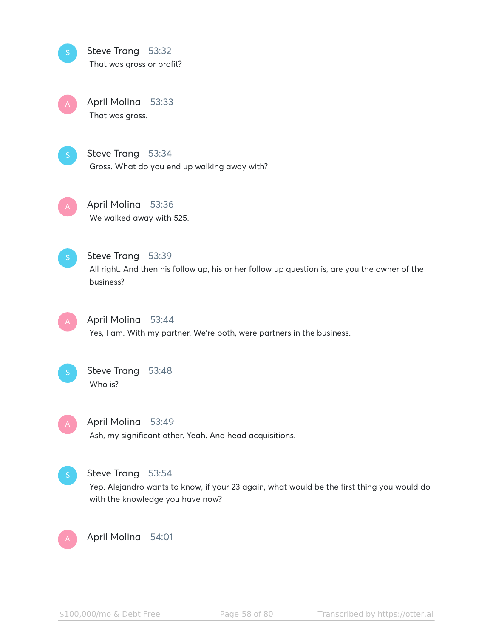Steve Trang 53:32 That was gross or profit?

April Molina 53:33 That was gross.

# Steve Trang 53:34 Gross. What do you end up walking away with?

April Molina 53:36 We walked away with 525.



# Steve Trang 53:39 All right. And then his follow up, his or her follow up question is, are you the owner of the business?

April Molina 53:44 Yes, I am. With my partner. We're both, were partners in the business.



# Steve Trang 53:48 Who is?

April Molina 53:49

Ash, my significant other. Yeah. And head acquisitions.



# Steve Trang 53:54

Yep. Alejandro wants to know, if your 23 again, what would be the first thing you would do with the knowledge you have now?



April Molina 54:01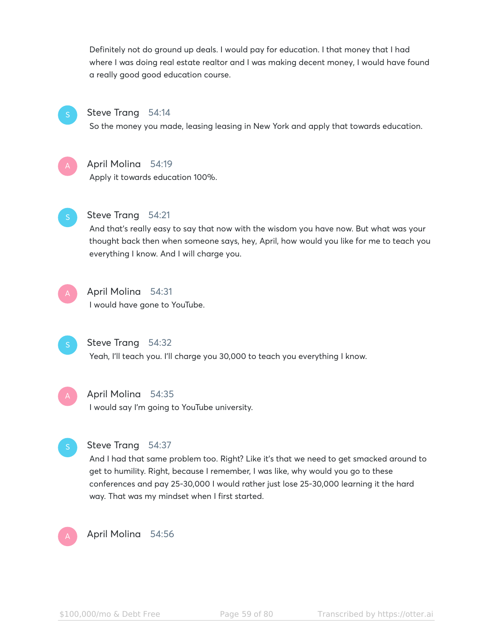Definitely not do ground up deals. I would pay for education. I that money that I had where I was doing real estate realtor and I was making decent money, I would have found a really good good education course.



Steve Trang 54:14

So the money you made, leasing leasing in New York and apply that towards education.

April Molina 54:19 Apply it towards education 100%.

# Steve Trang 54:21

And that's really easy to say that now with the wisdom you have now. But what was your thought back then when someone says, hey, April, how would you like for me to teach you everything I know. And I will charge you.



# April Molina 54:31

I would have gone to YouTube.



# Steve Trang 54:32 Yeah, I'll teach you. I'll charge you 30,000 to teach you everything I know.

## April Molina 54:35

I would say I'm going to YouTube university.



# Steve Trang 54:37

And I had that same problem too. Right? Like it's that we need to get smacked around to get to humility. Right, because I remember, I was like, why would you go to these conferences and pay 25-30,000 I would rather just lose 25-30,000 learning it the hard way. That was my mindset when I first started.



## April Molina 54:56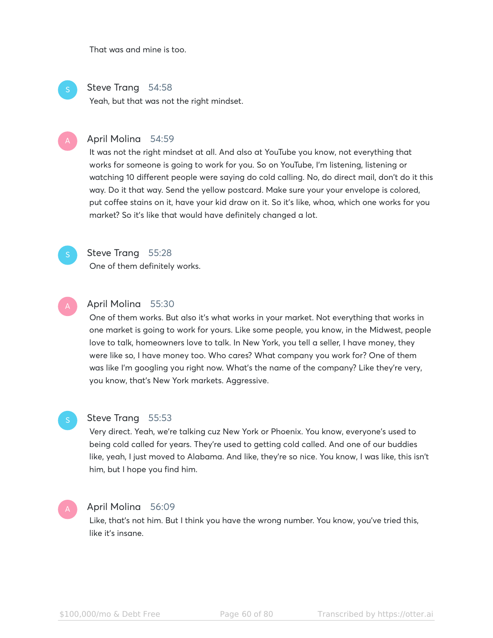That was and mine is too.

#### Steve Trang 54:58

Yeah, but that was not the right mindset.

#### April Molina 54:59

It was not the right mindset at all. And also at YouTube you know, not everything that works for someone is going to work for you. So on YouTube, I'm listening, listening or watching 10 different people were saying do cold calling. No, do direct mail, don't do it this way. Do it that way. Send the yellow postcard. Make sure your your envelope is colored, put coffee stains on it, have your kid draw on it. So it's like, whoa, which one works for you market? So it's like that would have definitely changed a lot.



#### Steve Trang 55:28

One of them definitely works.



#### April Molina 55:30

One of them works. But also it's what works in your market. Not everything that works in one market is going to work for yours. Like some people, you know, in the Midwest, people love to talk, homeowners love to talk. In New York, you tell a seller, I have money, they were like so, I have money too. Who cares? What company you work for? One of them was like I'm googling you right now. What's the name of the company? Like they're very, you know, that's New York markets. Aggressive.

#### Steve Trang 55:53

Very direct. Yeah, we're talking cuz New York or Phoenix. You know, everyone's used to being cold called for years. They're used to getting cold called. And one of our buddies like, yeah, I just moved to Alabama. And like, they're so nice. You know, I was like, this isn't him, but I hope you find him.

#### April Molina 56:09

Like, that's not him. But I think you have the wrong number. You know, you've tried this, like it's insane.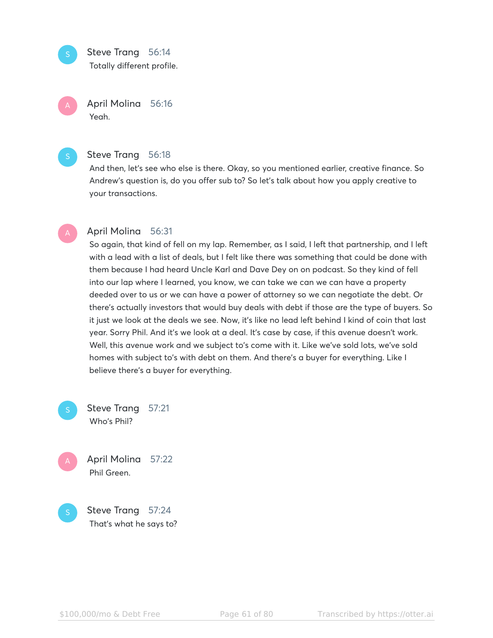# Steve Trang 56:14

Totally different profile.

April Molina 56:16 Yeah.

#### Steve Trang 56:18

And then, let's see who else is there. Okay, so you mentioned earlier, creative finance. So Andrew's question is, do you offer sub to? So let's talk about how you apply creative to your transactions.

### April Molina 56:31

So again, that kind of fell on my lap. Remember, as I said, I left that partnership, and I left with a lead with a list of deals, but I felt like there was something that could be done with them because I had heard Uncle Karl and Dave Dey on on podcast. So they kind of fell into our lap where I learned, you know, we can take we can we can have a property deeded over to us or we can have a power of attorney so we can negotiate the debt. Or there's actually investors that would buy deals with debt if those are the type of buyers. So it just we look at the deals we see. Now, it's like no lead left behind I kind of coin that last year. Sorry Phil. And it's we look at a deal. It's case by case, if this avenue doesn't work. Well, this avenue work and we subject to's come with it. Like we've sold lots, we've sold homes with subject to's with debt on them. And there's a buyer for everything. Like I believe there's a buyer for everything.

Steve Trang 57:21 Who's Phil?

- April Molina 57:22 Phil Green.
- Steve Trang 57:24 That's what he says to?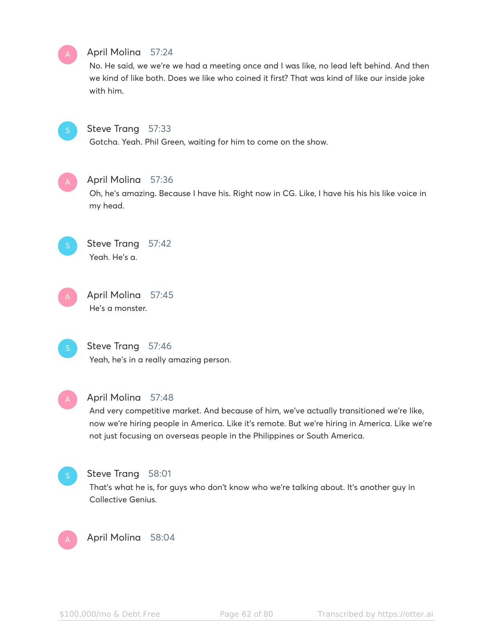# April Molina 57:24

No. He said, we we're we had a meeting once and I was like, no lead left behind. And then we kind of like both. Does we like who coined it first? That was kind of like our inside joke with him.



# Steve Trang 57:33

Gotcha. Yeah. Phil Green, waiting for him to come on the show.



#### April Molina 57:36

Oh, he's amazing. Because I have his. Right now in CG. Like, I have his his his like voice in my head.

Steve Trang 57:42 Yeah. He's a.

April Molina 57:45 He's a monster.



Steve Trang 57:46 Yeah, he's in a really amazing person.



#### April Molina 57:48

And very competitive market. And because of him, we've actually transitioned we're like, now we're hiring people in America. Like it's remote. But we're hiring in America. Like we're not just focusing on overseas people in the Philippines or South America.



#### Steve Trang 58:01

That's what he is, for guys who don't know who we're talking about. It's another guy in Collective Genius.



April Molina 58:04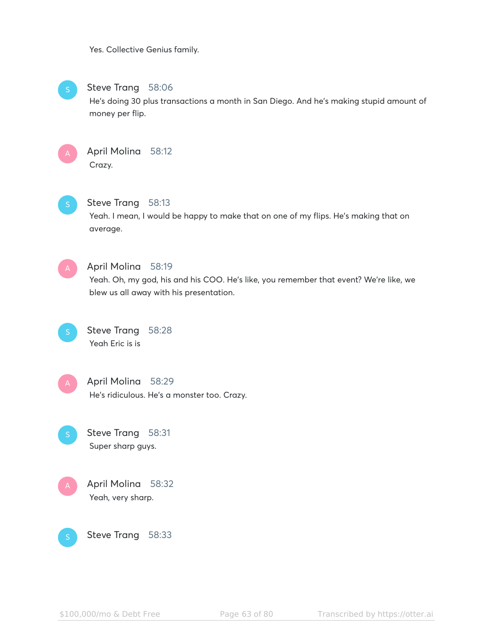Yes. Collective Genius family.



## Steve Trang 58:06

He's doing 30 plus transactions a month in San Diego. And he's making stupid amount of money per flip.



# April Molina 58:12 Crazy.

# Steve Trang 58:13

Yeah. I mean, I would be happy to make that on one of my flips. He's making that on average.



## April Molina 58:19

Yeah. Oh, my god, his and his COO. He's like, you remember that event? We're like, we blew us all away with his presentation.

- Steve Trang 58:28 Yeah Eric is is
- April Molina 58:29 He's ridiculous. He's a monster too. Crazy.
- Steve Trang 58:31 Super sharp guys.
- April Molina 58:32 Yeah, very sharp.



Steve Trang 58:33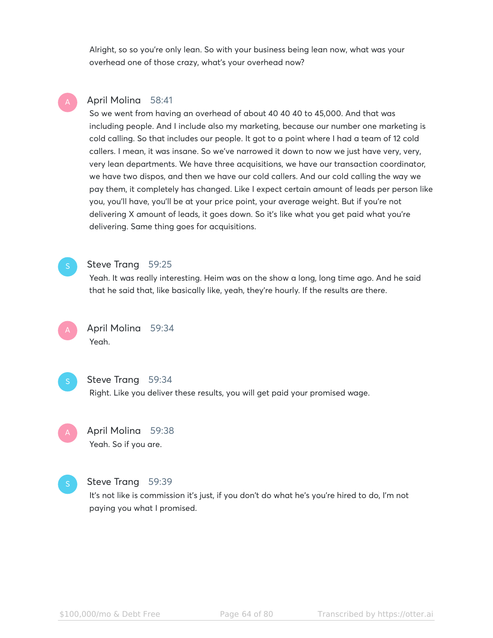Alright, so so you're only lean. So with your business being lean now, what was your overhead one of those crazy, what's your overhead now?



#### April Molina 58:41

So we went from having an overhead of about 40 40 40 to 45,000. And that was including people. And I include also my marketing, because our number one marketing is cold calling. So that includes our people. It got to a point where I had a team of 12 cold callers. I mean, it was insane. So we've narrowed it down to now we just have very, very, very lean departments. We have three acquisitions, we have our transaction coordinator, we have two dispos, and then we have our cold callers. And our cold calling the way we pay them, it completely has changed. Like I expect certain amount of leads per person like you, you'll have, you'll be at your price point, your average weight. But if you're not delivering X amount of leads, it goes down. So it's like what you get paid what you're delivering. Same thing goes for acquisitions.



#### Steve Trang 59:25

Yeah. It was really interesting. Heim was on the show a long, long time ago. And he said that he said that, like basically like, yeah, they're hourly. If the results are there.

April Molina 59:34 Yeah.

Steve Trang 59:34 Right. Like you deliver these results, you will get paid your promised wage.

April Molina 59:38 Yeah. So if you are.

# Steve Trang 59:39 It's not like is commission it's just, if you don't do what he's you're hired to do, I'm not paying you what I promised.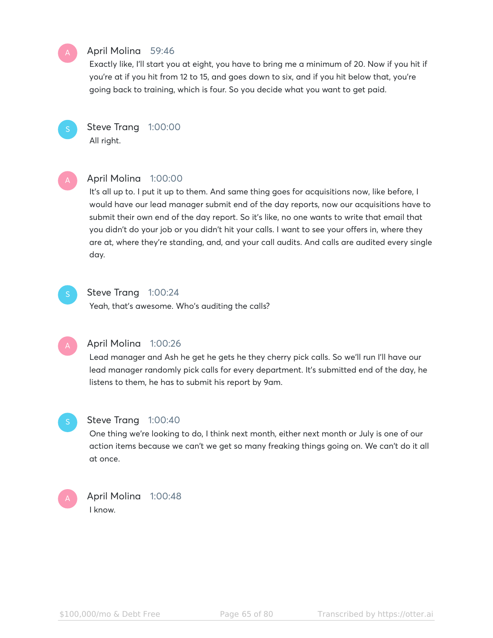# April Molina 59:46

Exactly like, I'll start you at eight, you have to bring me a minimum of 20. Now if you hit if you're at if you hit from 12 to 15, and goes down to six, and if you hit below that, you're going back to training, which is four. So you decide what you want to get paid.

# Steve Trang 1:00:00

All right.

## April Molina 1:00:00

It's all up to. I put it up to them. And same thing goes for acquisitions now, like before, I would have our lead manager submit end of the day reports, now our acquisitions have to submit their own end of the day report. So it's like, no one wants to write that email that you didn't do your job or you didn't hit your calls. I want to see your offers in, where they are at, where they're standing, and, and your call audits. And calls are audited every single day.

# Steve Trang 1:00:24

Yeah, that's awesome. Who's auditing the calls?



# April Molina 1:00:26

Lead manager and Ash he get he gets he they cherry pick calls. So we'll run I'll have our lead manager randomly pick calls for every department. It's submitted end of the day, he listens to them, he has to submit his report by 9am.



#### Steve Trang 1:00:40

One thing we're looking to do, I think next month, either next month or July is one of our action items because we can't we get so many freaking things going on. We can't do it all at once.

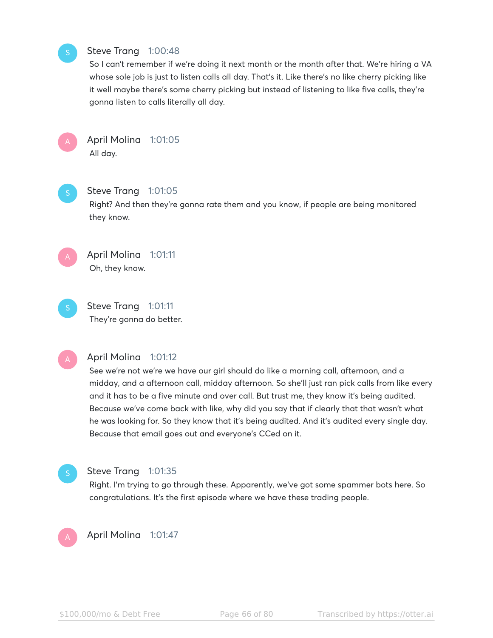# Steve Trang 1:00:48

So I can't remember if we're doing it next month or the month after that. We're hiring a VA whose sole job is just to listen calls all day. That's it. Like there's no like cherry picking like it well maybe there's some cherry picking but instead of listening to like five calls, they're gonna listen to calls literally all day.



April Molina 1:01:05 All day.



#### Steve Trang 1:01:05

Right? And then they're gonna rate them and you know, if people are being monitored they know.



April Molina 1:01:11 Oh, they know.

Steve Trang 1:01:11 They're gonna do better.

## April Molina 1:01:12

See we're not we're we have our girl should do like a morning call, afternoon, and a midday, and a afternoon call, midday afternoon. So she'll just ran pick calls from like every and it has to be a five minute and over call. But trust me, they know it's being audited. Because we've come back with like, why did you say that if clearly that that wasn't what he was looking for. So they know that it's being audited. And it's audited every single day. Because that email goes out and everyone's CCed on it.



#### Steve Trang 1:01:35

Right. I'm trying to go through these. Apparently, we've got some spammer bots here. So congratulations. It's the first episode where we have these trading people.

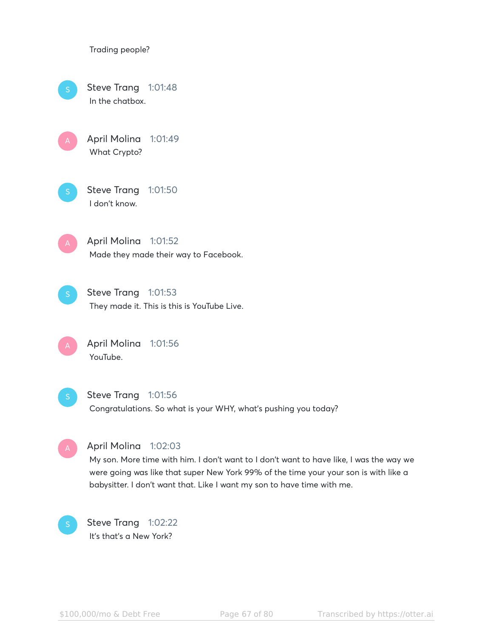Trading people?

Steve Trang 1:01:48 In the chatbox.

April Molina 1:01:49 What Crypto?

Steve Trang 1:01:50 I don't know.

April Molina 1:01:52 Made they made their way to Facebook.

Steve Trang 1:01:53 They made it. This is this is YouTube Live.

April Molina 1:01:56 YouTube.



Steve Trang 1:01:56 Congratulations. So what is your WHY, what's pushing you today?



## April Molina 1:02:03

My son. More time with him. I don't want to I don't want to have like, I was the way we were going was like that super New York 99% of the time your your son is with like a babysitter. I don't want that. Like I want my son to have time with me.

Steve Trang 1:02:22 It's that's a New York?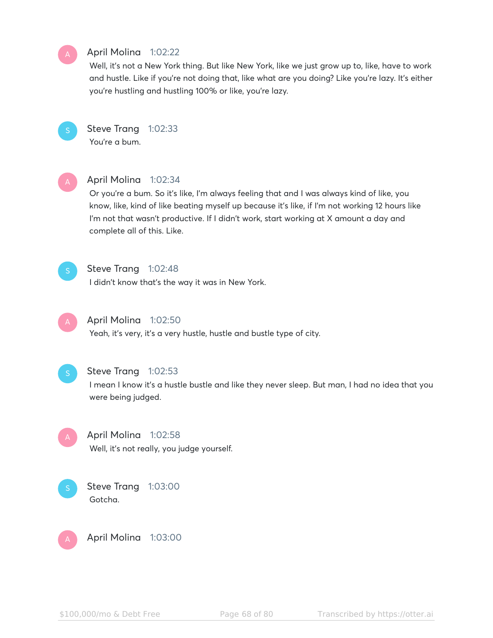# April Molina 1:02:22

Well, it's not a New York thing. But like New York, like we just grow up to, like, have to work and hustle. Like if you're not doing that, like what are you doing? Like you're lazy. It's either you're hustling and hustling 100% or like, you're lazy.



Steve Trang 1:02:33 You're a bum.

## April Molina 1:02:34

Or you're a bum. So it's like, I'm always feeling that and I was always kind of like, you know, like, kind of like beating myself up because it's like, if I'm not working 12 hours like I'm not that wasn't productive. If I didn't work, start working at X amount a day and complete all of this. Like.



## Steve Trang 1:02:48

I didn't know that's the way it was in New York.



April Molina 1:02:50 Yeah, it's very, it's a very hustle, hustle and bustle type of city.



## Steve Trang 1:02:53

I mean I know it's a hustle bustle and like they never sleep. But man, I had no idea that you were being judged.



Steve Trang 1:03:00 Gotcha.



April Molina 1:03:00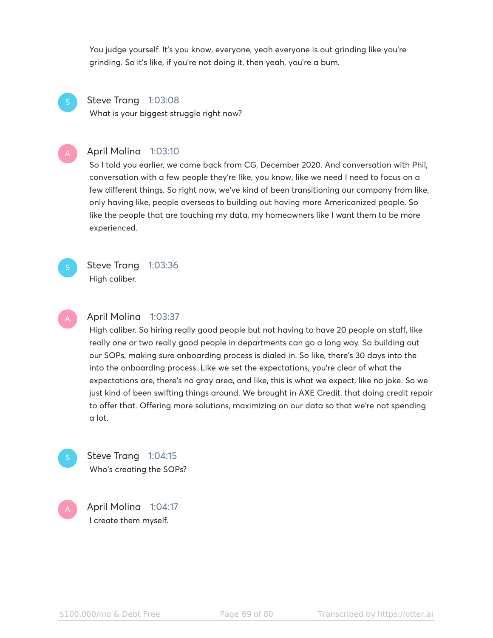You judge yourself. It's you know, everyone, yeah everyone is out grinding like you're grinding. So it's like, if you're not doing it, then yeah, you're a bum.

#### Steve Trang 1:03:08

What is your biggest struggle right now?

#### April Molina 1:03:10

So I told you earlier, we came back from CG, December 2020. And conversation with Phil, conversation with a few people they're like, you know, like we need I need to focus on a few different things. So right now, we've kind of been transitioning our company from like, only having like, people overseas to building out having more Americanized people. So like the people that are touching my data, my homeowners like I want them to be more experienced.



Steve Trang 1:03:36 High caliber.



#### April Molina 1:03:37

High caliber. So hiring really good people but not having to have 20 people on staff, like really one or two really good people in departments can go a long way. So building out our SOPs, making sure onboarding process is dialed in. So like, there's 30 days into the into the onboarding process. Like we set the expectations, you're clear of what the expectations are, there's no gray area, and like, this is what we expect, like no joke. So we just kind of been swifting things around. We brought in AXE Credit, that doing credit repair to offer that. Offering more solutions, maximizing on our data so that we're not spending a lot.

Steve Trang 1:04:15 Who's creating the SOPs?

April Molina 1:04:17 I create them myself.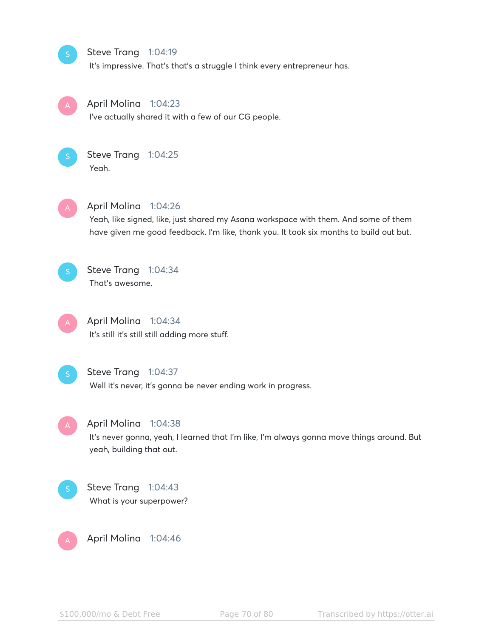# Steve Trang 1:04:19

It's impressive. That's that's a struggle I think every entrepreneur has.



# April Molina 1:04:23

I've actually shared it with a few of our CG people.



Steve Trang 1:04:25 Yeah.



# April Molina 1:04:26

Yeah, like signed, like, just shared my Asana workspace with them. And some of them have given me good feedback. I'm like, thank you. It took six months to build out but.



April Molina 1:04:34 It's still it's still still adding more stuff.

# Steve Trang 1:04:37

Well it's never, it's gonna be never ending work in progress.



# April Molina 1:04:38 It's never gonna, yeah, I learned that I'm like, I'm always gonna move things around. But

Steve Trang 1:04:43 What is your superpower?

yeah, building that out.



April Molina 1:04:46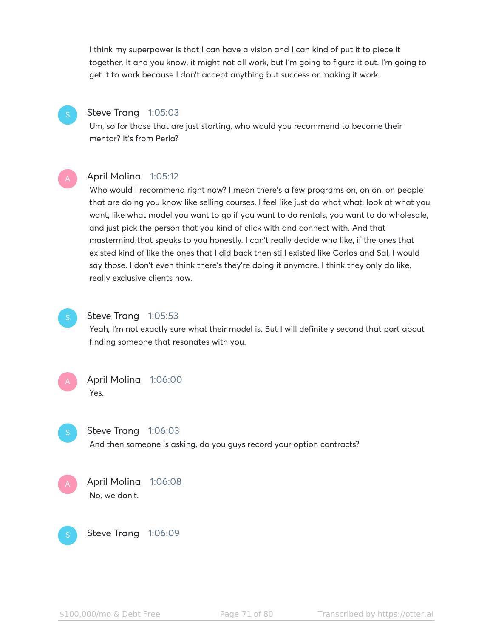I think my superpower is that I can have a vision and I can kind of put it to piece it together. It and you know, it might not all work, but I'm going to figure it out. I'm going to get it to work because I don't accept anything but success or making it work.

# Steve Trang 1:05:03

Um, so for those that are just starting, who would you recommend to become their mentor? It's from Perla?

## April Molina 1:05:12

Who would I recommend right now? I mean there's a few programs on, on on, on people that are doing you know like selling courses. I feel like just do what what, look at what you want, like what model you want to go if you want to do rentals, you want to do wholesale, and just pick the person that you kind of click with and connect with. And that mastermind that speaks to you honestly. I can't really decide who like, if the ones that existed kind of like the ones that I did back then still existed like Carlos and Sal, I would say those. I don't even think there's they're doing it anymore. I think they only do like, really exclusive clients now.



#### Steve Trang 1:05:53

Yeah, I'm not exactly sure what their model is. But I will definitely second that part about finding someone that resonates with you.



# April Molina 1:06:00

#### Steve Trang 1:06:03

And then someone is asking, do you guys record your option contracts?





Steve Trang 1:06:09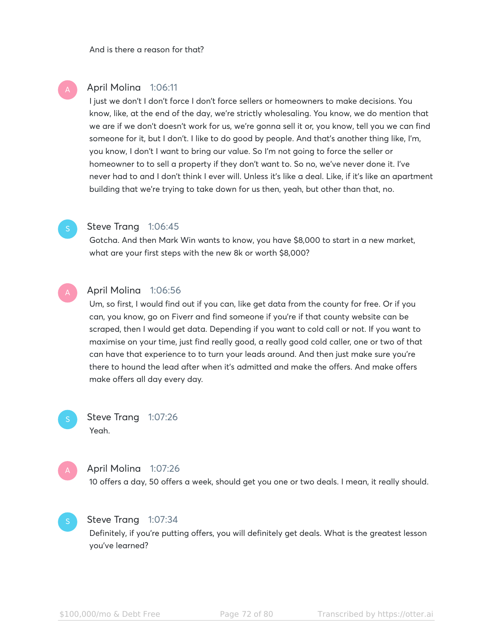And is there a reason for that?

# April Molina 1:06:11

I just we don't I don't force I don't force sellers or homeowners to make decisions. You know, like, at the end of the day, we're strictly wholesaling. You know, we do mention that we are if we don't doesn't work for us, we're gonna sell it or, you know, tell you we can find someone for it, but I don't. I like to do good by people. And that's another thing like, I'm, you know, I don't I want to bring our value. So I'm not going to force the seller or homeowner to to sell a property if they don't want to. So no, we've never done it. I've never had to and I don't think I ever will. Unless it's like a deal. Like, if it's like an apartment building that we're trying to take down for us then, yeah, but other than that, no.

#### Steve Trang 1:06:45

Gotcha. And then Mark Win wants to know, you have \$8,000 to start in a new market, what are your first steps with the new 8k or worth \$8,000?



#### April Molina 1:06:56

Um, so first, I would find out if you can, like get data from the county for free. Or if you can, you know, go on Fiverr and find someone if you're if that county website can be scraped, then I would get data. Depending if you want to cold call or not. If you want to maximise on your time, just find really good, a really good cold caller, one or two of that can have that experience to to turn your leads around. And then just make sure you're there to hound the lead after when it's admitted and make the offers. And make offers make offers all day every day.

Steve Trang 1:07:26 Yeah.



#### April Molina 1:07:26

10 offers a day, 50 offers a week, should get you one or two deals. I mean, it really should.

### Steve Trang 1:07:34

Definitely, if you're putting offers, you will definitely get deals. What is the greatest lesson you've learned?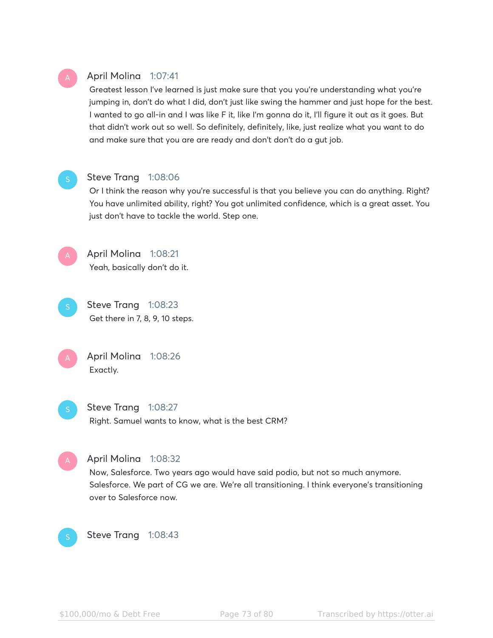# April Molina 1:07:41

Greatest lesson I've learned is just make sure that you you're understanding what you're jumping in, don't do what I did, don't just like swing the hammer and just hope for the best. I wanted to go all-in and I was like F it, like I'm gonna do it, I'll figure it out as it goes. But that didn't work out so well. So definitely, definitely, like, just realize what you want to do and make sure that you are are ready and don't don't do a gut job.



### Steve Trang 1:08:06

Or I think the reason why you're successful is that you believe you can do anything. Right? You have unlimited ability, right? You got unlimited confidence, which is a great asset. You just don't have to tackle the world. Step one.



April Molina 1:08:21 Yeah, basically don't do it.

- Steve Trang 1:08:23 Get there in 7, 8, 9, 10 steps.
- April Molina 1:08:26 Exactly.
- Steve Trang 1:08:27 Right. Samuel wants to know, what is the best CRM?
	- April Molina 1:08:32 Now, Salesforce. Two years ago would have said podio, but not so much anymore. Salesforce. We part of CG we are. We're all transitioning. I think everyone's transitioning

over to Salesforce now.



Steve Trang 1:08:43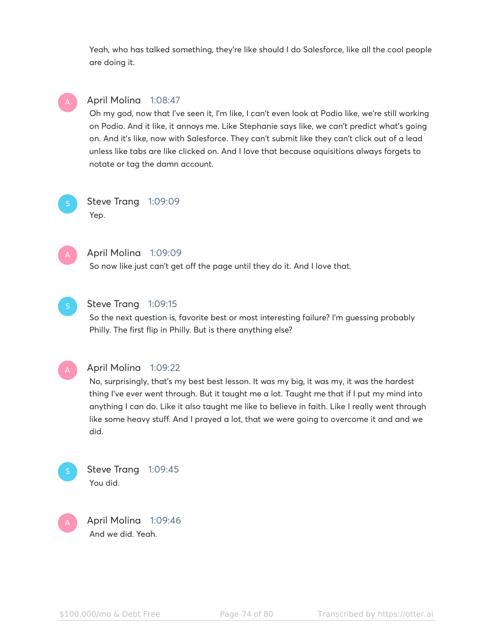Yeah, who has talked something, they're like should I do Salesforce, like all the cool people are doing it.



#### April Molina 1:08:47

Oh my god, now that I've seen it, I'm like, I can't even look at Podio like, we're still working on Podio. And it like, it annoys me. Like Stephanie says like, we can't predict what's going on. And it's like, now with Salesforce. They can't submit like they can't click out of a lead unless like tabs are like clicked on. And I love that because aquisitions always forgets to notate or tag the damn account.



# Steve Trang 1:09:09 Yep.



## April Molina 1:09:09

So now like just can't get off the page until they do it. And I love that.



#### Steve Trang 1:09:15

So the next question is, favorite best or most interesting failure? I'm guessing probably Philly. The first flip in Philly. But is there anything else?



#### April Molina 1:09:22

No, surprisingly, that's my best best lesson. It was my big, it was my, it was the hardest thing I've ever went through. But it taught me a lot. Taught me that if I put my mind into anything I can do. Like it also taught me like to believe in faith. Like I really went through like some heavy stuff. And I prayed a lot, that we were going to overcome it and and we did.



Steve Trang 1:09:45 You did.

April Molina 1:09:46 And we did. Yeah.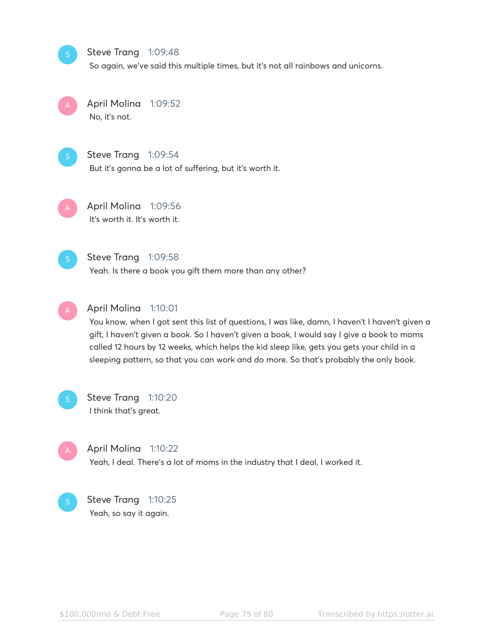# Steve Trang 1:09:48

So again, we've said this multiple times, but it's not all rainbows and unicorns.

April Molina 1:09:52 No, it's not.



## Steve Trang 1:09:54

But it's gonna be a lot of suffering, but it's worth it.

April Molina 1:09:56 It's worth it. It's worth it.



## Steve Trang 1:09:58

Yeah. Is there a book you gift them more than any other?



### April Molina 1:10:01

You know, when I got sent this list of questions, I was like, damn, I haven't I haven't given a gift, I haven't given a book. So I haven't given a book, I would say I give a book to moms called 12 hours by 12 weeks, which helps the kid sleep like, gets you gets your child in a sleeping pattern, so that you can work and do more. So that's probably the only book.



# Steve Trang 1:10:20 I think that's great.



Yeah, I deal. There's a lot of moms in the industry that I deal, I worked it.

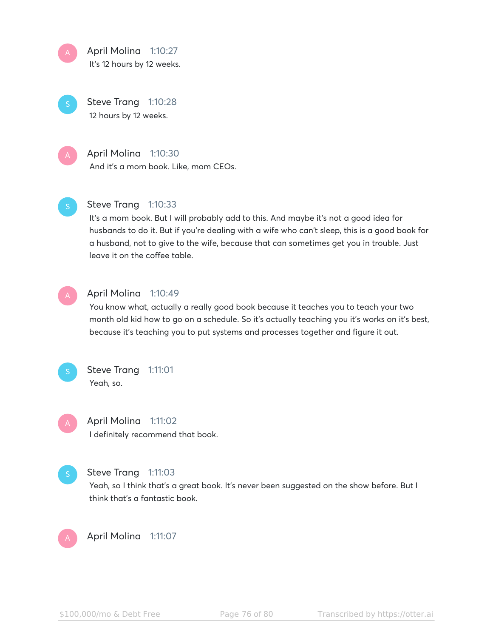April Molina 1:10:27 It's 12 hours by 12 weeks.

Steve Trang 1:10:28 12 hours by 12 weeks.

#### April Molina 1:10:30

And it's a mom book. Like, mom CEOs.



## Steve Trang 1:10:33

It's a mom book. But I will probably add to this. And maybe it's not a good idea for husbands to do it. But if you're dealing with a wife who can't sleep, this is a good book for a husband, not to give to the wife, because that can sometimes get you in trouble. Just leave it on the coffee table.



# April Molina 1:10:49

You know what, actually a really good book because it teaches you to teach your two month old kid how to go on a schedule. So it's actually teaching you it's works on it's best, because it's teaching you to put systems and processes together and figure it out.



# Steve Trang 1:11:01 Yeah, so.

April Molina 1:11:02 I definitely recommend that book.



### Steve Trang 1:11:03

Yeah, so I think that's a great book. It's never been suggested on the show before. But I think that's a fantastic book.



April Molina 1:11:07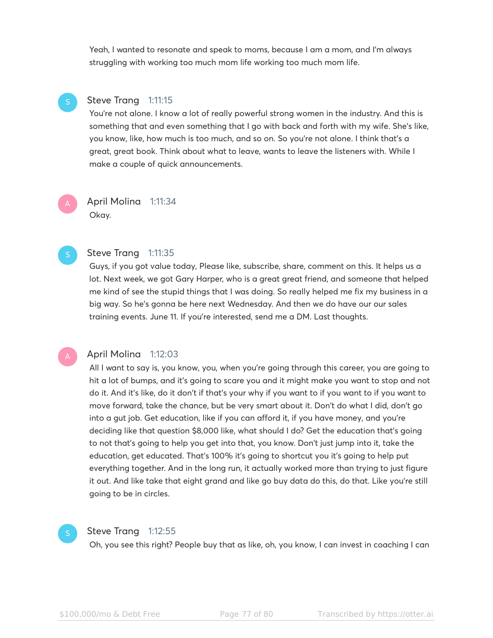Yeah, I wanted to resonate and speak to moms, because I am a mom, and I'm always struggling with working too much mom life working too much mom life.

#### Steve Trang 1:11:15

You're not alone. I know a lot of really powerful strong women in the industry. And this is something that and even something that I go with back and forth with my wife. She's like, you know, like, how much is too much, and so on. So you're not alone. I think that's a great, great book. Think about what to leave, wants to leave the listeners with. While I make a couple of quick announcements.

April Molina 1:11:34 Okay.



#### Steve Trang 1:11:35

Guys, if you got value today, Please like, subscribe, share, comment on this. It helps us a lot. Next week, we got Gary Harper, who is a great great friend, and someone that helped me kind of see the stupid things that I was doing. So really helped me fix my business in a big way. So he's gonna be here next Wednesday. And then we do have our our sales training events. June 11. If you're interested, send me a DM. Last thoughts.

#### April Molina 1:12:03

All I want to say is, you know, you, when you're going through this career, you are going to hit a lot of bumps, and it's going to scare you and it might make you want to stop and not do it. And it's like, do it don't if that's your why if you want to if you want to if you want to move forward, take the chance, but be very smart about it. Don't do what I did, don't go into a gut job. Get education, like if you can afford it, if you have money, and you're deciding like that question \$8,000 like, what should I do? Get the education that's going to not that's going to help you get into that, you know. Don't just jump into it, take the education, get educated. That's 100% it's going to shortcut you it's going to help put everything together. And in the long run, it actually worked more than trying to just figure it out. And like take that eight grand and like go buy data do this, do that. Like you're still going to be in circles.

#### Steve Trang 1:12:55

Oh, you see this right? People buy that as like, oh, you know, I can invest in coaching I can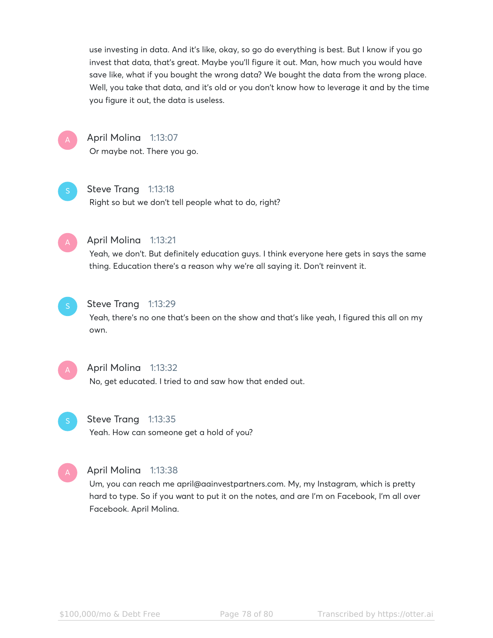use investing in data. And it's like, okay, so go do everything is best. But I know if you go invest that data, that's great. Maybe you'll figure it out. Man, how much you would have save like, what if you bought the wrong data? We bought the data from the wrong place. Well, you take that data, and it's old or you don't know how to leverage it and by the time you figure it out, the data is useless.



April Molina 1:13:07 Or maybe not. There you go.



Steve Trang 1:13:18

Right so but we don't tell people what to do, right?



# April Molina 1:13:21

Yeah, we don't. But definitely education guys. I think everyone here gets in says the same thing. Education there's a reason why we're all saying it. Don't reinvent it.



# Steve Trang 1:13:29

Yeah, there's no one that's been on the show and that's like yeah, I figured this all on my own.



# April Molina 1:13:32

No, get educated. I tried to and saw how that ended out.



# Steve Trang 1:13:35

Yeah. How can someone get a hold of you?



### April Molina 1:13:38

Um, you can reach me april@aainvestpartners.com. My, my Instagram, which is pretty hard to type. So if you want to put it on the notes, and are I'm on Facebook, I'm all over Facebook. April Molina.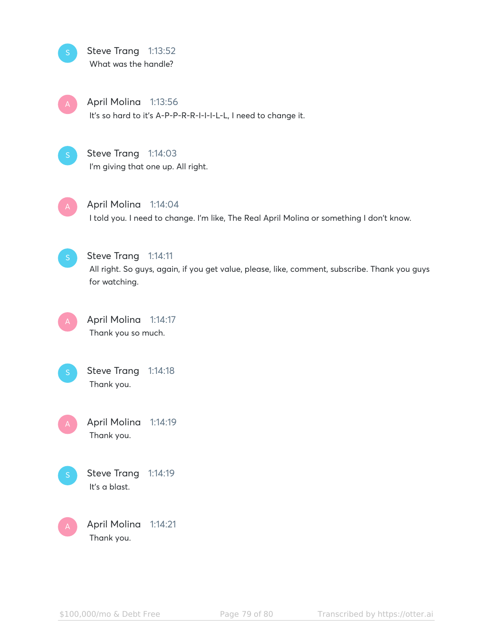

What was the handle?

April Molina 1:13:56 It's so hard to it's A-P-P-R-R-I-I-I-L-L, I need to change it.

# Steve Trang 1:14:03 I'm giving that one up. All right.

April Molina 1:14:04 I told you. I need to change. I'm like, The Real April Molina or something I don't know.

# Steve Trang 1:14:11

All right. So guys, again, if you get value, please, like, comment, subscribe. Thank you guys for watching.



Steve Trang 1:14:18 Thank you.

April Molina 1:14:19 Thank you.

Steve Trang 1:14:19 It's a blast.

April Molina 1:14:21 Thank you.